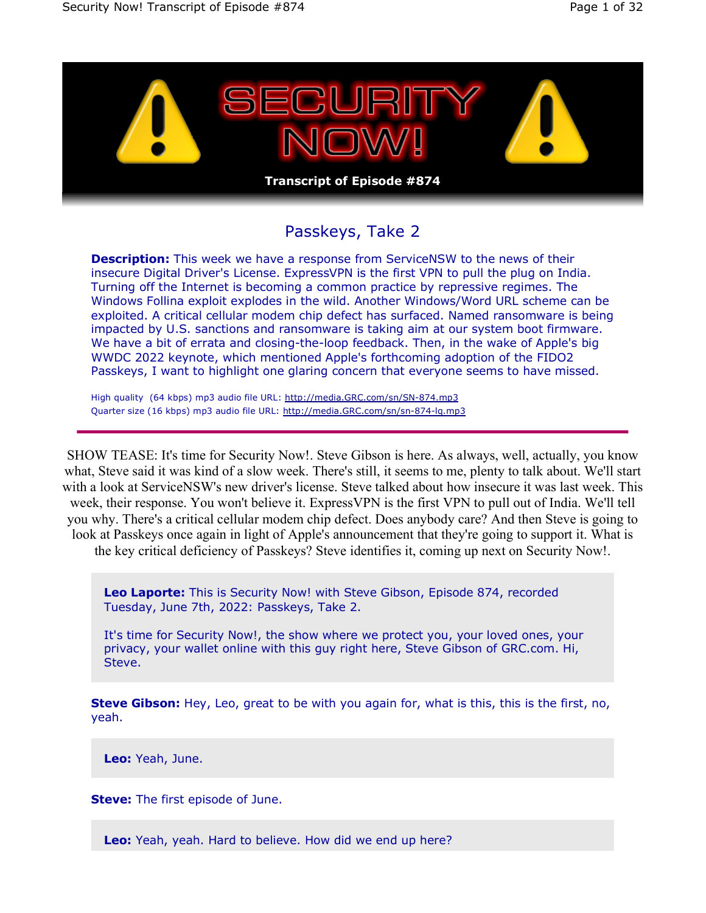

## Passkeys, Take 2

**Description:** This week we have a response from ServiceNSW to the news of their insecure Digital Driver's License. ExpressVPN is the first VPN to pull the plug on India. Turning off the Internet is becoming a common practice by repressive regimes. The Windows Follina exploit explodes in the wild. Another Windows/Word URL scheme can be exploited. A critical cellular modem chip defect has surfaced. Named ransomware is being impacted by U.S. sanctions and ransomware is taking aim at our system boot firmware. We have a bit of errata and closing-the-loop feedback. Then, in the wake of Apple's big WWDC 2022 keynote, which mentioned Apple's forthcoming adoption of the FIDO2 Passkeys, I want to highlight one glaring concern that everyone seems to have missed.

High quality (64 kbps) mp3 audio file URL: http://media.GRC.com/sn/SN-874.mp3 Quarter size (16 kbps) mp3 audio file URL: http://media.GRC.com/sn/sn-874-lq.mp3

SHOW TEASE: It's time for Security Now!. Steve Gibson is here. As always, well, actually, you know what, Steve said it was kind of a slow week. There's still, it seems to me, plenty to talk about. We'll start with a look at ServiceNSW's new driver's license. Steve talked about how insecure it was last week. This week, their response. You won't believe it. ExpressVPN is the first VPN to pull out of India. We'll tell you why. There's a critical cellular modem chip defect. Does anybody care? And then Steve is going to look at Passkeys once again in light of Apple's announcement that they're going to support it. What is the key critical deficiency of Passkeys? Steve identifies it, coming up next on Security Now!.

**Leo Laporte:** This is Security Now! with Steve Gibson, Episode 874, recorded Tuesday, June 7th, 2022: Passkeys, Take 2.

It's time for Security Now!, the show where we protect you, your loved ones, your privacy, your wallet online with this guy right here, Steve Gibson of GRC.com. Hi, Steve.

**Steve Gibson:** Hey, Leo, great to be with you again for, what is this, this is the first, no, yeah.

**Leo:** Yeah, June.

**Steve:** The first episode of June.

**Leo:** Yeah, yeah. Hard to believe. How did we end up here?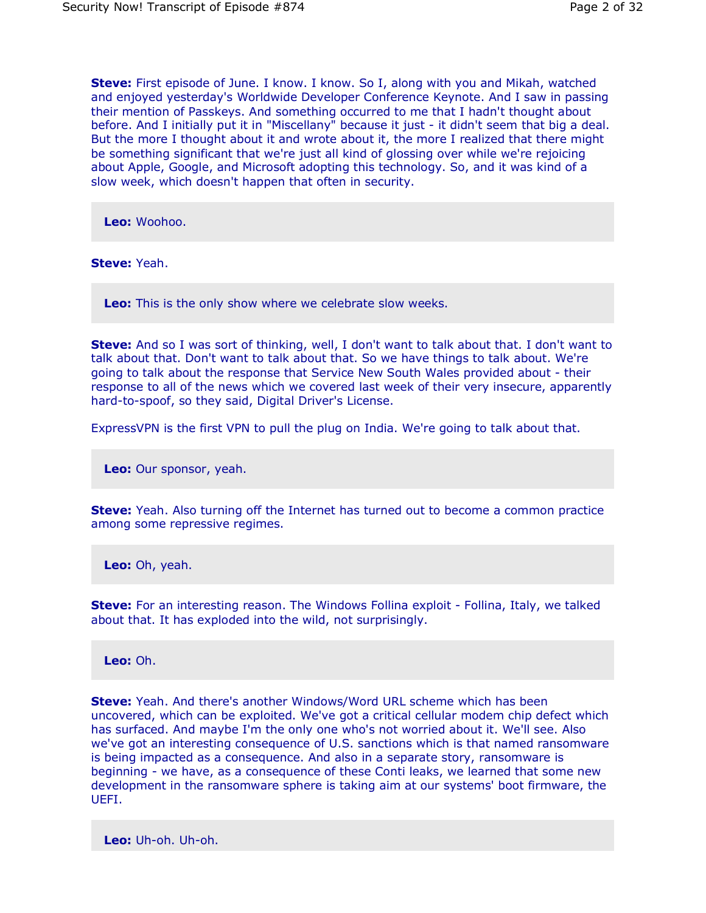**Steve:** First episode of June. I know. I know. So I, along with you and Mikah, watched and enjoyed yesterday's Worldwide Developer Conference Keynote. And I saw in passing their mention of Passkeys. And something occurred to me that I hadn't thought about before. And I initially put it in "Miscellany" because it just - it didn't seem that big a deal. But the more I thought about it and wrote about it, the more I realized that there might be something significant that we're just all kind of glossing over while we're rejoicing about Apple, Google, and Microsoft adopting this technology. So, and it was kind of a slow week, which doesn't happen that often in security.

**Leo:** Woohoo.

**Steve:** Yeah.

**Leo:** This is the only show where we celebrate slow weeks.

**Steve:** And so I was sort of thinking, well, I don't want to talk about that. I don't want to talk about that. Don't want to talk about that. So we have things to talk about. We're going to talk about the response that Service New South Wales provided about - their response to all of the news which we covered last week of their very insecure, apparently hard-to-spoof, so they said, Digital Driver's License.

ExpressVPN is the first VPN to pull the plug on India. We're going to talk about that.

**Leo:** Our sponsor, yeah.

**Steve:** Yeah. Also turning off the Internet has turned out to become a common practice among some repressive regimes.

**Leo:** Oh, yeah.

**Steve:** For an interesting reason. The Windows Follina exploit - Follina, Italy, we talked about that. It has exploded into the wild, not surprisingly.

**Leo:** Oh.

**Steve:** Yeah. And there's another Windows/Word URL scheme which has been uncovered, which can be exploited. We've got a critical cellular modem chip defect which has surfaced. And maybe I'm the only one who's not worried about it. We'll see. Also we've got an interesting consequence of U.S. sanctions which is that named ransomware is being impacted as a consequence. And also in a separate story, ransomware is beginning - we have, as a consequence of these Conti leaks, we learned that some new development in the ransomware sphere is taking aim at our systems' boot firmware, the UEFI.

**Leo:** Uh-oh. Uh-oh.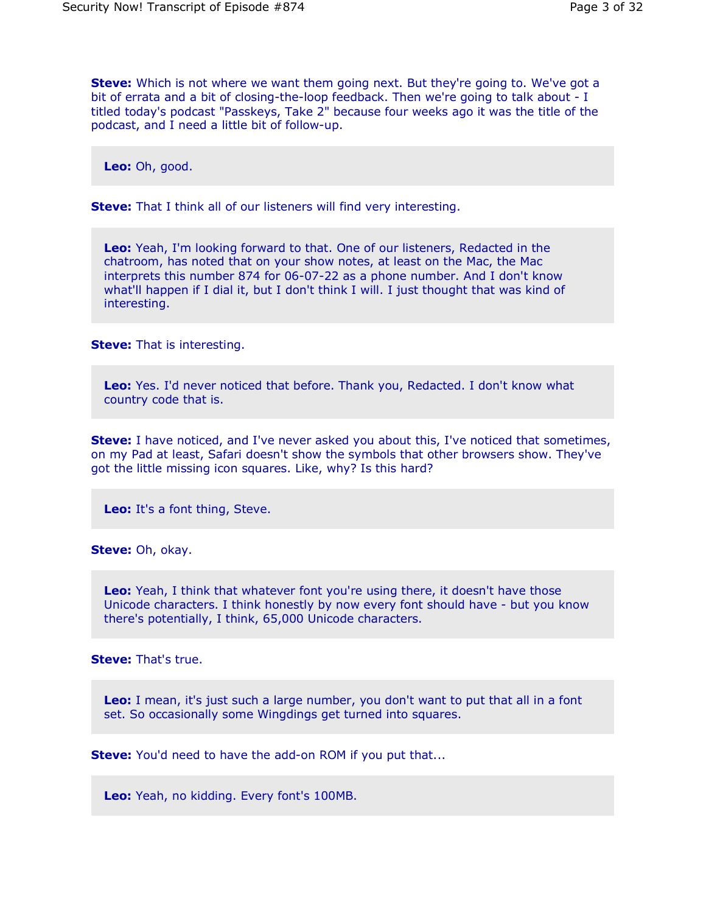**Steve:** Which is not where we want them going next. But they're going to. We've got a bit of errata and a bit of closing-the-loop feedback. Then we're going to talk about - I titled today's podcast "Passkeys, Take 2" because four weeks ago it was the title of the podcast, and I need a little bit of follow-up.

**Leo:** Oh, good.

**Steve:** That I think all of our listeners will find very interesting.

**Leo:** Yeah, I'm looking forward to that. One of our listeners, Redacted in the chatroom, has noted that on your show notes, at least on the Mac, the Mac interprets this number 874 for 06-07-22 as a phone number. And I don't know what'll happen if I dial it, but I don't think I will. I just thought that was kind of interesting.

**Steve:** That is interesting.

**Leo:** Yes. I'd never noticed that before. Thank you, Redacted. I don't know what country code that is.

**Steve:** I have noticed, and I've never asked you about this, I've noticed that sometimes, on my Pad at least, Safari doesn't show the symbols that other browsers show. They've got the little missing icon squares. Like, why? Is this hard?

**Leo:** It's a font thing, Steve.

**Steve:** Oh, okay.

**Leo:** Yeah, I think that whatever font you're using there, it doesn't have those Unicode characters. I think honestly by now every font should have - but you know there's potentially, I think, 65,000 Unicode characters.

**Steve:** That's true.

**Leo:** I mean, it's just such a large number, you don't want to put that all in a font set. So occasionally some Wingdings get turned into squares.

**Steve:** You'd need to have the add-on ROM if you put that...

**Leo:** Yeah, no kidding. Every font's 100MB.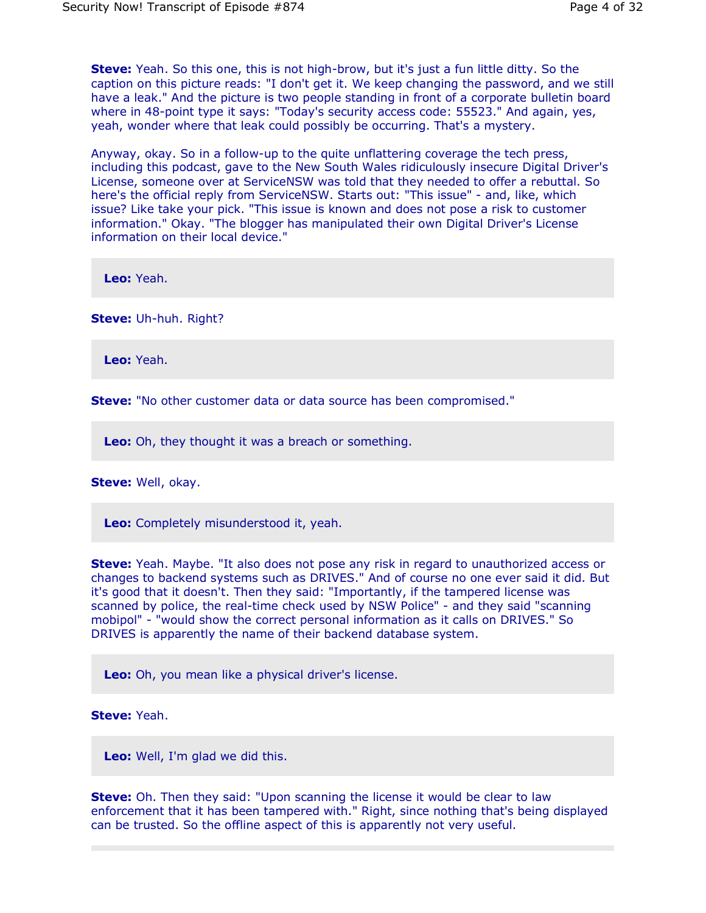**Steve:** Yeah. So this one, this is not high-brow, but it's just a fun little ditty. So the caption on this picture reads: "I don't get it. We keep changing the password, and we still have a leak." And the picture is two people standing in front of a corporate bulletin board where in 48-point type it says: "Today's security access code: 55523." And again, yes, yeah, wonder where that leak could possibly be occurring. That's a mystery.

Anyway, okay. So in a follow-up to the quite unflattering coverage the tech press, including this podcast, gave to the New South Wales ridiculously insecure Digital Driver's License, someone over at ServiceNSW was told that they needed to offer a rebuttal. So here's the official reply from ServiceNSW. Starts out: "This issue" - and, like, which issue? Like take your pick. "This issue is known and does not pose a risk to customer information." Okay. "The blogger has manipulated their own Digital Driver's License information on their local device."

**Leo:** Yeah.

**Steve:** Uh-huh. Right?

**Leo:** Yeah.

**Steve:** "No other customer data or data source has been compromised."

**Leo:** Oh, they thought it was a breach or something.

**Steve:** Well, okay.

**Leo:** Completely misunderstood it, yeah.

**Steve:** Yeah. Maybe. "It also does not pose any risk in regard to unauthorized access or changes to backend systems such as DRIVES." And of course no one ever said it did. But it's good that it doesn't. Then they said: "Importantly, if the tampered license was scanned by police, the real-time check used by NSW Police" - and they said "scanning mobipol" - "would show the correct personal information as it calls on DRIVES." So DRIVES is apparently the name of their backend database system.

**Leo:** Oh, you mean like a physical driver's license.

**Steve:** Yeah.

**Leo:** Well, I'm glad we did this.

**Steve:** Oh. Then they said: "Upon scanning the license it would be clear to law enforcement that it has been tampered with." Right, since nothing that's being displayed can be trusted. So the offline aspect of this is apparently not very useful.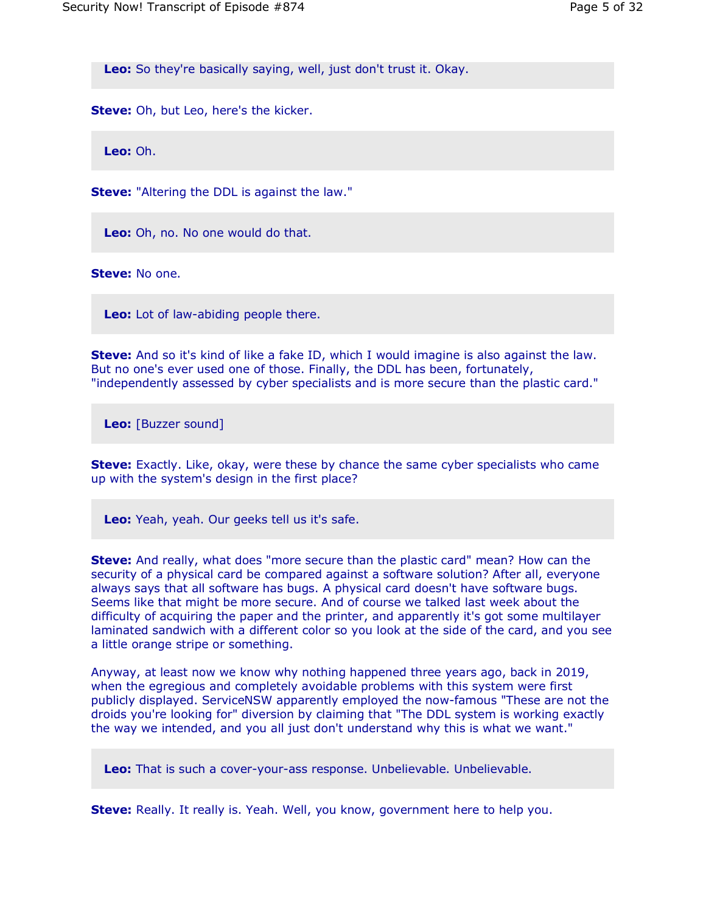**Leo:** So they're basically saying, well, just don't trust it. Okay.

**Steve:** Oh, but Leo, here's the kicker.

**Leo:** Oh.

**Steve:** "Altering the DDL is against the law."

**Leo:** Oh, no. No one would do that.

**Steve:** No one.

**Leo:** Lot of law-abiding people there.

**Steve:** And so it's kind of like a fake ID, which I would imagine is also against the law. But no one's ever used one of those. Finally, the DDL has been, fortunately, "independently assessed by cyber specialists and is more secure than the plastic card."

**Leo:** [Buzzer sound]

**Steve:** Exactly. Like, okay, were these by chance the same cyber specialists who came up with the system's design in the first place?

**Leo:** Yeah, yeah. Our geeks tell us it's safe.

**Steve:** And really, what does "more secure than the plastic card" mean? How can the security of a physical card be compared against a software solution? After all, everyone always says that all software has bugs. A physical card doesn't have software bugs. Seems like that might be more secure. And of course we talked last week about the difficulty of acquiring the paper and the printer, and apparently it's got some multilayer laminated sandwich with a different color so you look at the side of the card, and you see a little orange stripe or something.

Anyway, at least now we know why nothing happened three years ago, back in 2019, when the egregious and completely avoidable problems with this system were first publicly displayed. ServiceNSW apparently employed the now-famous "These are not the droids you're looking for" diversion by claiming that "The DDL system is working exactly the way we intended, and you all just don't understand why this is what we want."

**Leo:** That is such a cover-your-ass response. Unbelievable. Unbelievable.

**Steve:** Really. It really is. Yeah. Well, you know, government here to help you.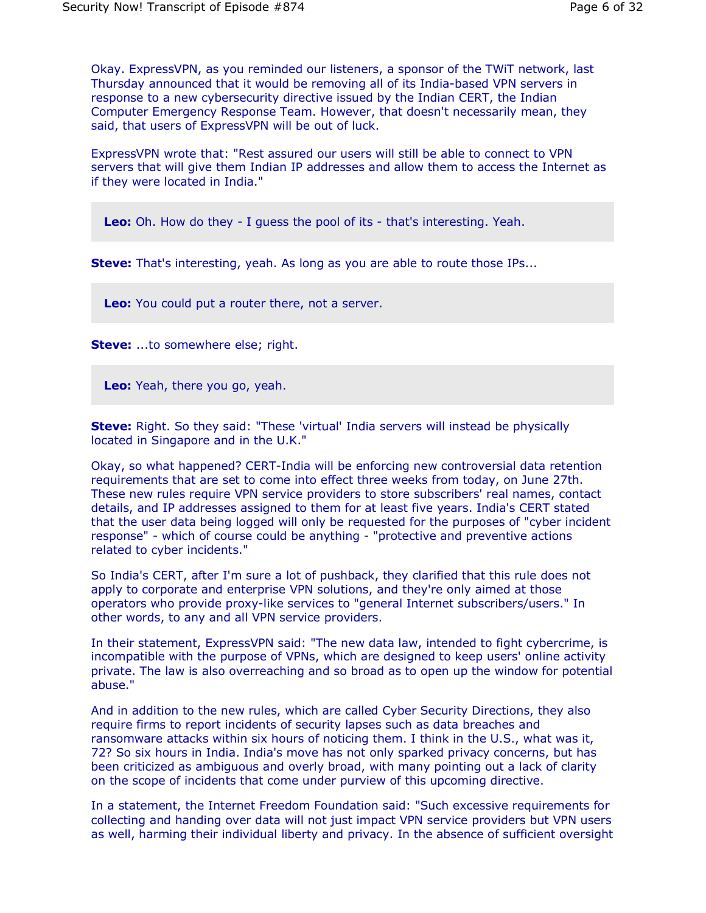Okay. ExpressVPN, as you reminded our listeners, a sponsor of the TWiT network, last Thursday announced that it would be removing all of its India-based VPN servers in response to a new cybersecurity directive issued by the Indian CERT, the Indian Computer Emergency Response Team. However, that doesn't necessarily mean, they said, that users of ExpressVPN will be out of luck.

ExpressVPN wrote that: "Rest assured our users will still be able to connect to VPN servers that will give them Indian IP addresses and allow them to access the Internet as if they were located in India."

**Leo:** Oh. How do they - I guess the pool of its - that's interesting. Yeah.

**Steve:** That's interesting, yeah. As long as you are able to route those IPs...

**Leo:** You could put a router there, not a server.

**Steve:** ...to somewhere else; right.

**Leo:** Yeah, there you go, yeah.

**Steve:** Right. So they said: "These 'virtual' India servers will instead be physically located in Singapore and in the U.K."

Okay, so what happened? CERT-India will be enforcing new controversial data retention requirements that are set to come into effect three weeks from today, on June 27th. These new rules require VPN service providers to store subscribers' real names, contact details, and IP addresses assigned to them for at least five years. India's CERT stated that the user data being logged will only be requested for the purposes of "cyber incident response" - which of course could be anything - "protective and preventive actions related to cyber incidents."

So India's CERT, after I'm sure a lot of pushback, they clarified that this rule does not apply to corporate and enterprise VPN solutions, and they're only aimed at those operators who provide proxy-like services to "general Internet subscribers/users." In other words, to any and all VPN service providers.

In their statement, ExpressVPN said: "The new data law, intended to fight cybercrime, is incompatible with the purpose of VPNs, which are designed to keep users' online activity private. The law is also overreaching and so broad as to open up the window for potential abuse."

And in addition to the new rules, which are called Cyber Security Directions, they also require firms to report incidents of security lapses such as data breaches and ransomware attacks within six hours of noticing them. I think in the U.S., what was it, 72? So six hours in India. India's move has not only sparked privacy concerns, but has been criticized as ambiguous and overly broad, with many pointing out a lack of clarity on the scope of incidents that come under purview of this upcoming directive.

In a statement, the Internet Freedom Foundation said: "Such excessive requirements for collecting and handing over data will not just impact VPN service providers but VPN users as well, harming their individual liberty and privacy. In the absence of sufficient oversight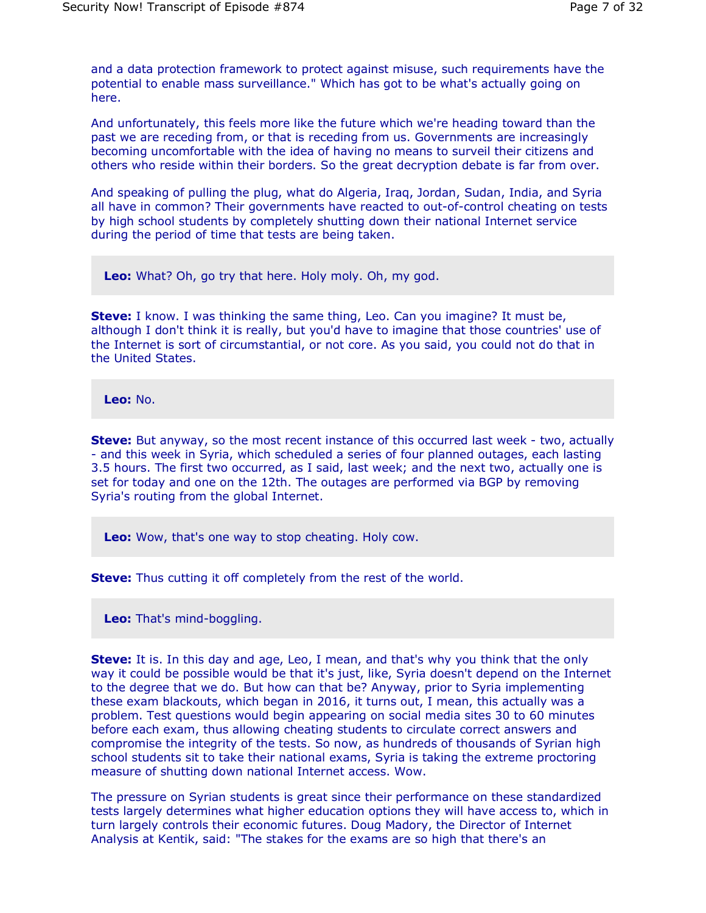and a data protection framework to protect against misuse, such requirements have the potential to enable mass surveillance." Which has got to be what's actually going on here.

And unfortunately, this feels more like the future which we're heading toward than the past we are receding from, or that is receding from us. Governments are increasingly becoming uncomfortable with the idea of having no means to surveil their citizens and others who reside within their borders. So the great decryption debate is far from over.

And speaking of pulling the plug, what do Algeria, Iraq, Jordan, Sudan, India, and Syria all have in common? Their governments have reacted to out-of-control cheating on tests by high school students by completely shutting down their national Internet service during the period of time that tests are being taken.

**Leo:** What? Oh, go try that here. Holy moly. Oh, my god.

**Steve:** I know. I was thinking the same thing, Leo. Can you imagine? It must be, although I don't think it is really, but you'd have to imagine that those countries' use of the Internet is sort of circumstantial, or not core. As you said, you could not do that in the United States.

**Leo:** No.

**Steve:** But anyway, so the most recent instance of this occurred last week - two, actually - and this week in Syria, which scheduled a series of four planned outages, each lasting 3.5 hours. The first two occurred, as I said, last week; and the next two, actually one is set for today and one on the 12th. The outages are performed via BGP by removing Syria's routing from the global Internet.

**Leo:** Wow, that's one way to stop cheating. Holy cow.

**Steve:** Thus cutting it off completely from the rest of the world.

**Leo:** That's mind-boggling.

**Steve:** It is. In this day and age, Leo, I mean, and that's why you think that the only way it could be possible would be that it's just, like, Syria doesn't depend on the Internet to the degree that we do. But how can that be? Anyway, prior to Syria implementing these exam blackouts, which began in 2016, it turns out, I mean, this actually was a problem. Test questions would begin appearing on social media sites 30 to 60 minutes before each exam, thus allowing cheating students to circulate correct answers and compromise the integrity of the tests. So now, as hundreds of thousands of Syrian high school students sit to take their national exams, Syria is taking the extreme proctoring measure of shutting down national Internet access. Wow.

The pressure on Syrian students is great since their performance on these standardized tests largely determines what higher education options they will have access to, which in turn largely controls their economic futures. Doug Madory, the Director of Internet Analysis at Kentik, said: "The stakes for the exams are so high that there's an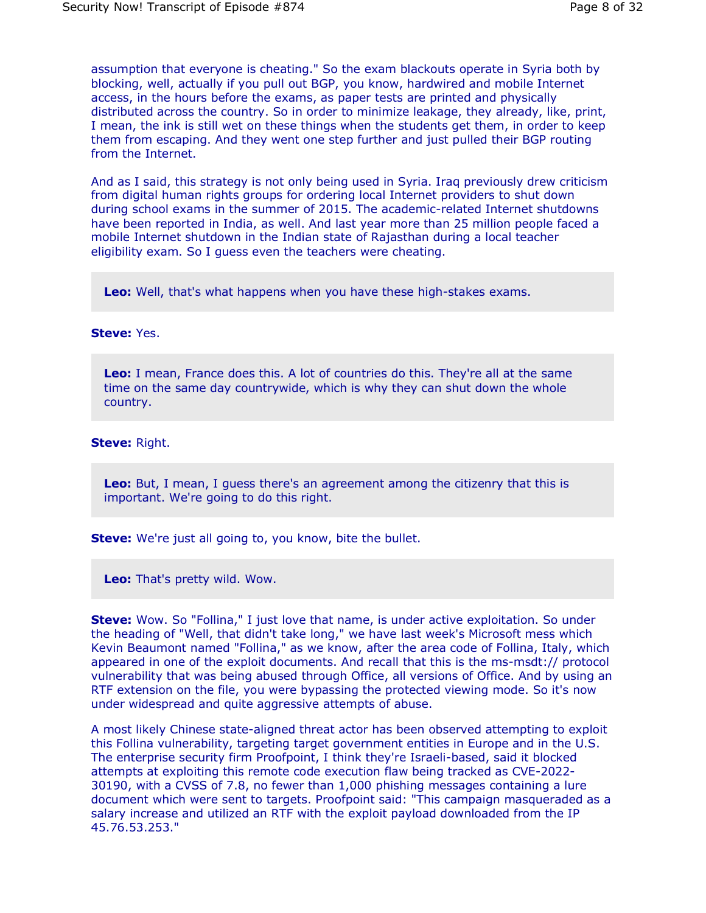assumption that everyone is cheating." So the exam blackouts operate in Syria both by blocking, well, actually if you pull out BGP, you know, hardwired and mobile Internet access, in the hours before the exams, as paper tests are printed and physically distributed across the country. So in order to minimize leakage, they already, like, print, I mean, the ink is still wet on these things when the students get them, in order to keep them from escaping. And they went one step further and just pulled their BGP routing from the Internet.

And as I said, this strategy is not only being used in Syria. Iraq previously drew criticism from digital human rights groups for ordering local Internet providers to shut down during school exams in the summer of 2015. The academic-related Internet shutdowns have been reported in India, as well. And last year more than 25 million people faced a mobile Internet shutdown in the Indian state of Rajasthan during a local teacher eligibility exam. So I guess even the teachers were cheating.

**Leo:** Well, that's what happens when you have these high-stakes exams.

## **Steve:** Yes.

**Leo:** I mean, France does this. A lot of countries do this. They're all at the same time on the same day countrywide, which is why they can shut down the whole country.

## **Steve:** Right.

**Leo:** But, I mean, I guess there's an agreement among the citizenry that this is important. We're going to do this right.

**Steve:** We're just all going to, you know, bite the bullet.

**Leo:** That's pretty wild. Wow.

**Steve:** Wow. So "Follina," I just love that name, is under active exploitation. So under the heading of "Well, that didn't take long," we have last week's Microsoft mess which Kevin Beaumont named "Follina," as we know, after the area code of Follina, Italy, which appeared in one of the exploit documents. And recall that this is the ms-msdt:// protocol vulnerability that was being abused through Office, all versions of Office. And by using an RTF extension on the file, you were bypassing the protected viewing mode. So it's now under widespread and quite aggressive attempts of abuse.

A most likely Chinese state-aligned threat actor has been observed attempting to exploit this Follina vulnerability, targeting target government entities in Europe and in the U.S. The enterprise security firm Proofpoint, I think they're Israeli-based, said it blocked attempts at exploiting this remote code execution flaw being tracked as CVE-2022- 30190, with a CVSS of 7.8, no fewer than 1,000 phishing messages containing a lure document which were sent to targets. Proofpoint said: "This campaign masqueraded as a salary increase and utilized an RTF with the exploit payload downloaded from the IP 45.76.53.253."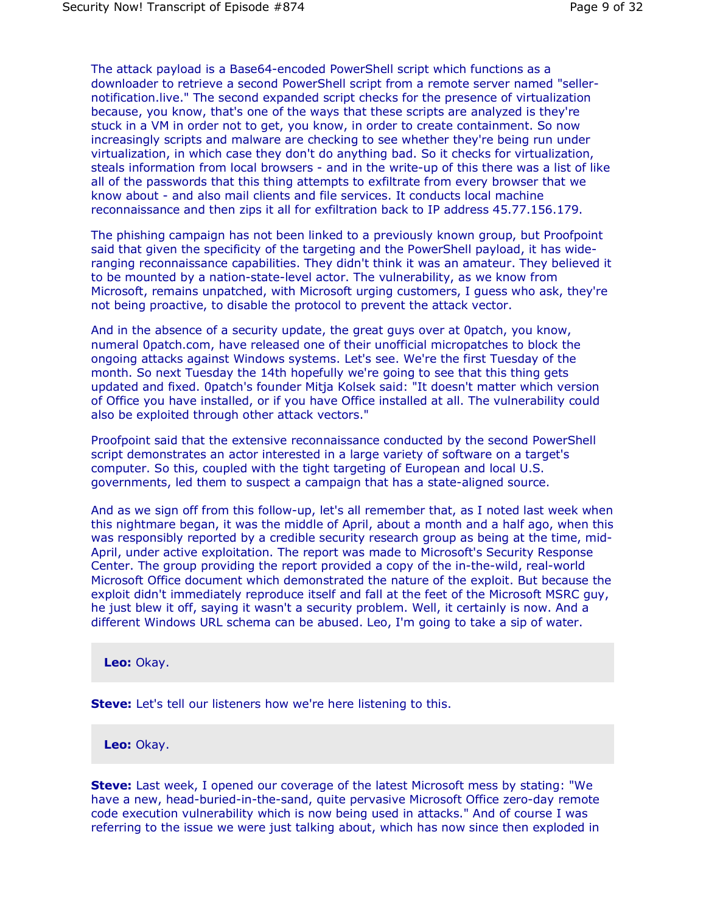The attack payload is a Base64-encoded PowerShell script which functions as a downloader to retrieve a second PowerShell script from a remote server named "sellernotification.live." The second expanded script checks for the presence of virtualization because, you know, that's one of the ways that these scripts are analyzed is they're stuck in a VM in order not to get, you know, in order to create containment. So now increasingly scripts and malware are checking to see whether they're being run under virtualization, in which case they don't do anything bad. So it checks for virtualization, steals information from local browsers - and in the write-up of this there was a list of like all of the passwords that this thing attempts to exfiltrate from every browser that we know about - and also mail clients and file services. It conducts local machine reconnaissance and then zips it all for exfiltration back to IP address 45.77.156.179.

The phishing campaign has not been linked to a previously known group, but Proofpoint said that given the specificity of the targeting and the PowerShell payload, it has wideranging reconnaissance capabilities. They didn't think it was an amateur. They believed it to be mounted by a nation-state-level actor. The vulnerability, as we know from Microsoft, remains unpatched, with Microsoft urging customers, I guess who ask, they're not being proactive, to disable the protocol to prevent the attack vector.

And in the absence of a security update, the great guys over at 0patch, you know, numeral 0patch.com, have released one of their unofficial micropatches to block the ongoing attacks against Windows systems. Let's see. We're the first Tuesday of the month. So next Tuesday the 14th hopefully we're going to see that this thing gets updated and fixed. 0patch's founder Mitja Kolsek said: "It doesn't matter which version of Office you have installed, or if you have Office installed at all. The vulnerability could also be exploited through other attack vectors."

Proofpoint said that the extensive reconnaissance conducted by the second PowerShell script demonstrates an actor interested in a large variety of software on a target's computer. So this, coupled with the tight targeting of European and local U.S. governments, led them to suspect a campaign that has a state-aligned source.

And as we sign off from this follow-up, let's all remember that, as I noted last week when this nightmare began, it was the middle of April, about a month and a half ago, when this was responsibly reported by a credible security research group as being at the time, mid-April, under active exploitation. The report was made to Microsoft's Security Response Center. The group providing the report provided a copy of the in-the-wild, real-world Microsoft Office document which demonstrated the nature of the exploit. But because the exploit didn't immediately reproduce itself and fall at the feet of the Microsoft MSRC guy, he just blew it off, saying it wasn't a security problem. Well, it certainly is now. And a different Windows URL schema can be abused. Leo, I'm going to take a sip of water.

**Leo:** Okay.

**Steve:** Let's tell our listeners how we're here listening to this.

**Leo:** Okay.

**Steve:** Last week, I opened our coverage of the latest Microsoft mess by stating: "We have a new, head-buried-in-the-sand, quite pervasive Microsoft Office zero-day remote code execution vulnerability which is now being used in attacks." And of course I was referring to the issue we were just talking about, which has now since then exploded in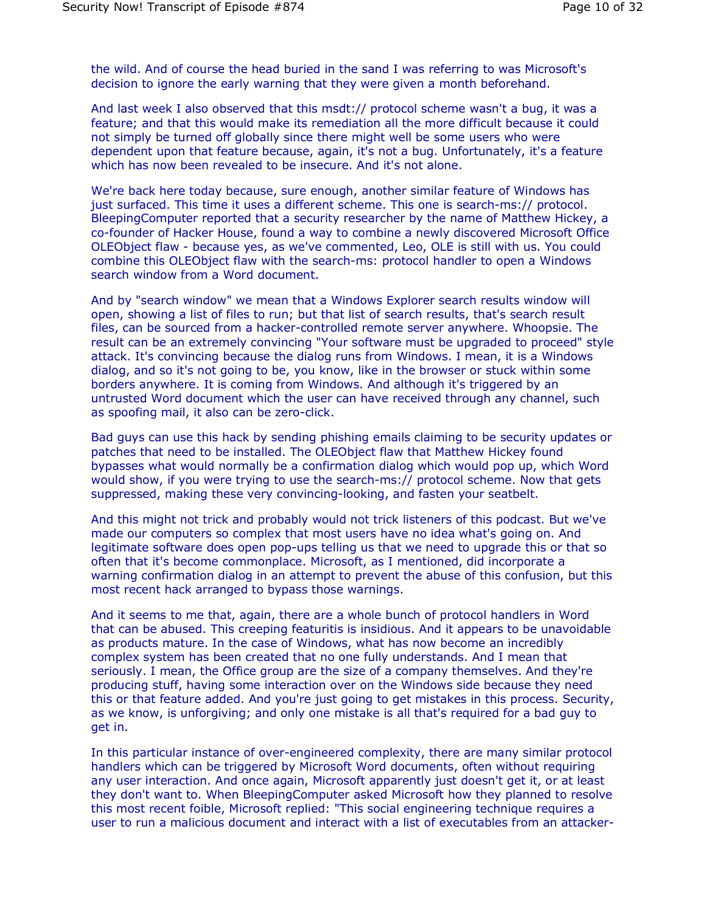the wild. And of course the head buried in the sand I was referring to was Microsoft's decision to ignore the early warning that they were given a month beforehand.

And last week I also observed that this msdt:// protocol scheme wasn't a bug, it was a feature; and that this would make its remediation all the more difficult because it could not simply be turned off globally since there might well be some users who were dependent upon that feature because, again, it's not a bug. Unfortunately, it's a feature which has now been revealed to be insecure. And it's not alone.

We're back here today because, sure enough, another similar feature of Windows has just surfaced. This time it uses a different scheme. This one is search-ms:// protocol. BleepingComputer reported that a security researcher by the name of Matthew Hickey, a co-founder of Hacker House, found a way to combine a newly discovered Microsoft Office OLEObject flaw - because yes, as we've commented, Leo, OLE is still with us. You could combine this OLEObject flaw with the search-ms: protocol handler to open a Windows search window from a Word document.

And by "search window" we mean that a Windows Explorer search results window will open, showing a list of files to run; but that list of search results, that's search result files, can be sourced from a hacker-controlled remote server anywhere. Whoopsie. The result can be an extremely convincing "Your software must be upgraded to proceed" style attack. It's convincing because the dialog runs from Windows. I mean, it is a Windows dialog, and so it's not going to be, you know, like in the browser or stuck within some borders anywhere. It is coming from Windows. And although it's triggered by an untrusted Word document which the user can have received through any channel, such as spoofing mail, it also can be zero-click.

Bad guys can use this hack by sending phishing emails claiming to be security updates or patches that need to be installed. The OLEObject flaw that Matthew Hickey found bypasses what would normally be a confirmation dialog which would pop up, which Word would show, if you were trying to use the search-ms:// protocol scheme. Now that gets suppressed, making these very convincing-looking, and fasten your seatbelt.

And this might not trick and probably would not trick listeners of this podcast. But we've made our computers so complex that most users have no idea what's going on. And legitimate software does open pop-ups telling us that we need to upgrade this or that so often that it's become commonplace. Microsoft, as I mentioned, did incorporate a warning confirmation dialog in an attempt to prevent the abuse of this confusion, but this most recent hack arranged to bypass those warnings.

And it seems to me that, again, there are a whole bunch of protocol handlers in Word that can be abused. This creeping featuritis is insidious. And it appears to be unavoidable as products mature. In the case of Windows, what has now become an incredibly complex system has been created that no one fully understands. And I mean that seriously. I mean, the Office group are the size of a company themselves. And they're producing stuff, having some interaction over on the Windows side because they need this or that feature added. And you're just going to get mistakes in this process. Security, as we know, is unforgiving; and only one mistake is all that's required for a bad guy to get in.

In this particular instance of over-engineered complexity, there are many similar protocol handlers which can be triggered by Microsoft Word documents, often without requiring any user interaction. And once again, Microsoft apparently just doesn't get it, or at least they don't want to. When BleepingComputer asked Microsoft how they planned to resolve this most recent foible, Microsoft replied: "This social engineering technique requires a user to run a malicious document and interact with a list of executables from an attacker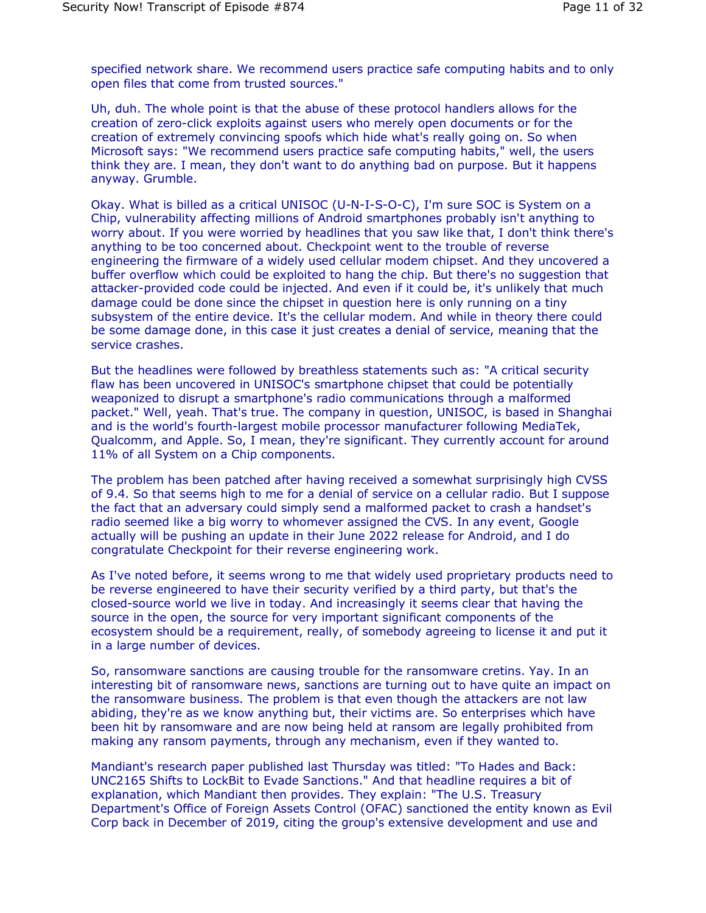specified network share. We recommend users practice safe computing habits and to only open files that come from trusted sources."

Uh, duh. The whole point is that the abuse of these protocol handlers allows for the creation of zero-click exploits against users who merely open documents or for the creation of extremely convincing spoofs which hide what's really going on. So when Microsoft says: "We recommend users practice safe computing habits," well, the users think they are. I mean, they don't want to do anything bad on purpose. But it happens anyway. Grumble.

Okay. What is billed as a critical UNISOC (U-N-I-S-O-C), I'm sure SOC is System on a Chip, vulnerability affecting millions of Android smartphones probably isn't anything to worry about. If you were worried by headlines that you saw like that, I don't think there's anything to be too concerned about. Checkpoint went to the trouble of reverse engineering the firmware of a widely used cellular modem chipset. And they uncovered a buffer overflow which could be exploited to hang the chip. But there's no suggestion that attacker-provided code could be injected. And even if it could be, it's unlikely that much damage could be done since the chipset in question here is only running on a tiny subsystem of the entire device. It's the cellular modem. And while in theory there could be some damage done, in this case it just creates a denial of service, meaning that the service crashes.

But the headlines were followed by breathless statements such as: "A critical security flaw has been uncovered in UNISOC's smartphone chipset that could be potentially weaponized to disrupt a smartphone's radio communications through a malformed packet." Well, yeah. That's true. The company in question, UNISOC, is based in Shanghai and is the world's fourth-largest mobile processor manufacturer following MediaTek, Qualcomm, and Apple. So, I mean, they're significant. They currently account for around 11% of all System on a Chip components.

The problem has been patched after having received a somewhat surprisingly high CVSS of 9.4. So that seems high to me for a denial of service on a cellular radio. But I suppose the fact that an adversary could simply send a malformed packet to crash a handset's radio seemed like a big worry to whomever assigned the CVS. In any event, Google actually will be pushing an update in their June 2022 release for Android, and I do congratulate Checkpoint for their reverse engineering work.

As I've noted before, it seems wrong to me that widely used proprietary products need to be reverse engineered to have their security verified by a third party, but that's the closed-source world we live in today. And increasingly it seems clear that having the source in the open, the source for very important significant components of the ecosystem should be a requirement, really, of somebody agreeing to license it and put it in a large number of devices.

So, ransomware sanctions are causing trouble for the ransomware cretins. Yay. In an interesting bit of ransomware news, sanctions are turning out to have quite an impact on the ransomware business. The problem is that even though the attackers are not law abiding, they're as we know anything but, their victims are. So enterprises which have been hit by ransomware and are now being held at ransom are legally prohibited from making any ransom payments, through any mechanism, even if they wanted to.

Mandiant's research paper published last Thursday was titled: "To Hades and Back: UNC2165 Shifts to LockBit to Evade Sanctions." And that headline requires a bit of explanation, which Mandiant then provides. They explain: "The U.S. Treasury Department's Office of Foreign Assets Control (OFAC) sanctioned the entity known as Evil Corp back in December of 2019, citing the group's extensive development and use and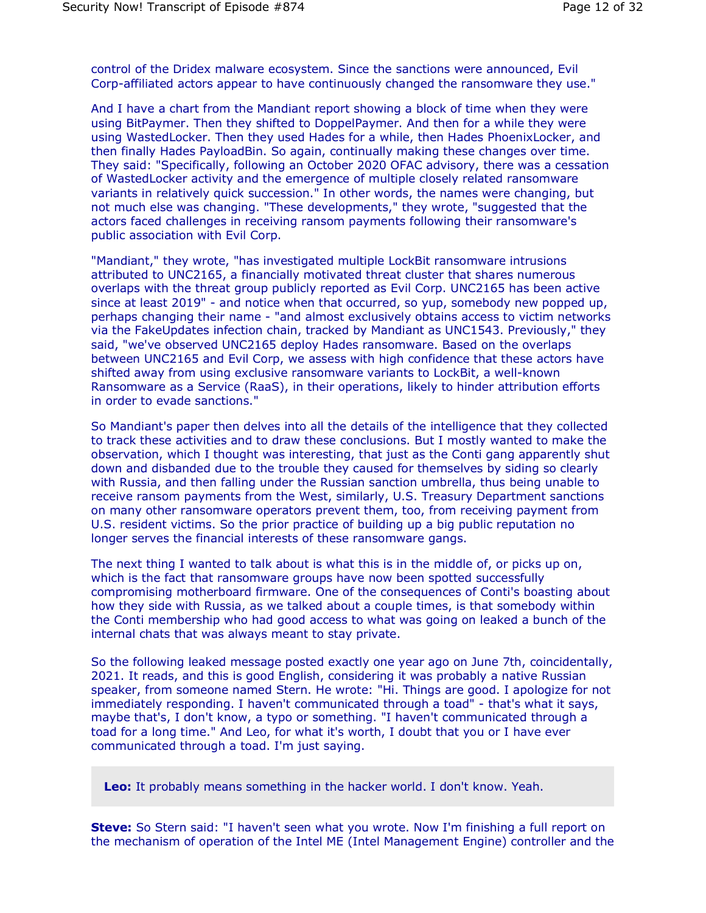control of the Dridex malware ecosystem. Since the sanctions were announced, Evil Corp-affiliated actors appear to have continuously changed the ransomware they use."

And I have a chart from the Mandiant report showing a block of time when they were using BitPaymer. Then they shifted to DoppelPaymer. And then for a while they were using WastedLocker. Then they used Hades for a while, then Hades PhoenixLocker, and then finally Hades PayloadBin. So again, continually making these changes over time. They said: "Specifically, following an October 2020 OFAC advisory, there was a cessation of WastedLocker activity and the emergence of multiple closely related ransomware variants in relatively quick succession." In other words, the names were changing, but not much else was changing. "These developments," they wrote, "suggested that the actors faced challenges in receiving ransom payments following their ransomware's public association with Evil Corp.

"Mandiant," they wrote, "has investigated multiple LockBit ransomware intrusions attributed to UNC2165, a financially motivated threat cluster that shares numerous overlaps with the threat group publicly reported as Evil Corp. UNC2165 has been active since at least 2019" - and notice when that occurred, so yup, somebody new popped up, perhaps changing their name - "and almost exclusively obtains access to victim networks via the FakeUpdates infection chain, tracked by Mandiant as UNC1543. Previously," they said, "we've observed UNC2165 deploy Hades ransomware. Based on the overlaps between UNC2165 and Evil Corp, we assess with high confidence that these actors have shifted away from using exclusive ransomware variants to LockBit, a well-known Ransomware as a Service (RaaS), in their operations, likely to hinder attribution efforts in order to evade sanctions."

So Mandiant's paper then delves into all the details of the intelligence that they collected to track these activities and to draw these conclusions. But I mostly wanted to make the observation, which I thought was interesting, that just as the Conti gang apparently shut down and disbanded due to the trouble they caused for themselves by siding so clearly with Russia, and then falling under the Russian sanction umbrella, thus being unable to receive ransom payments from the West, similarly, U.S. Treasury Department sanctions on many other ransomware operators prevent them, too, from receiving payment from U.S. resident victims. So the prior practice of building up a big public reputation no longer serves the financial interests of these ransomware gangs.

The next thing I wanted to talk about is what this is in the middle of, or picks up on, which is the fact that ransomware groups have now been spotted successfully compromising motherboard firmware. One of the consequences of Conti's boasting about how they side with Russia, as we talked about a couple times, is that somebody within the Conti membership who had good access to what was going on leaked a bunch of the internal chats that was always meant to stay private.

So the following leaked message posted exactly one year ago on June 7th, coincidentally, 2021. It reads, and this is good English, considering it was probably a native Russian speaker, from someone named Stern. He wrote: "Hi. Things are good. I apologize for not immediately responding. I haven't communicated through a toad" - that's what it says, maybe that's, I don't know, a typo or something. "I haven't communicated through a toad for a long time." And Leo, for what it's worth, I doubt that you or I have ever communicated through a toad. I'm just saying.

**Leo:** It probably means something in the hacker world. I don't know. Yeah.

**Steve:** So Stern said: "I haven't seen what you wrote. Now I'm finishing a full report on the mechanism of operation of the Intel ME (Intel Management Engine) controller and the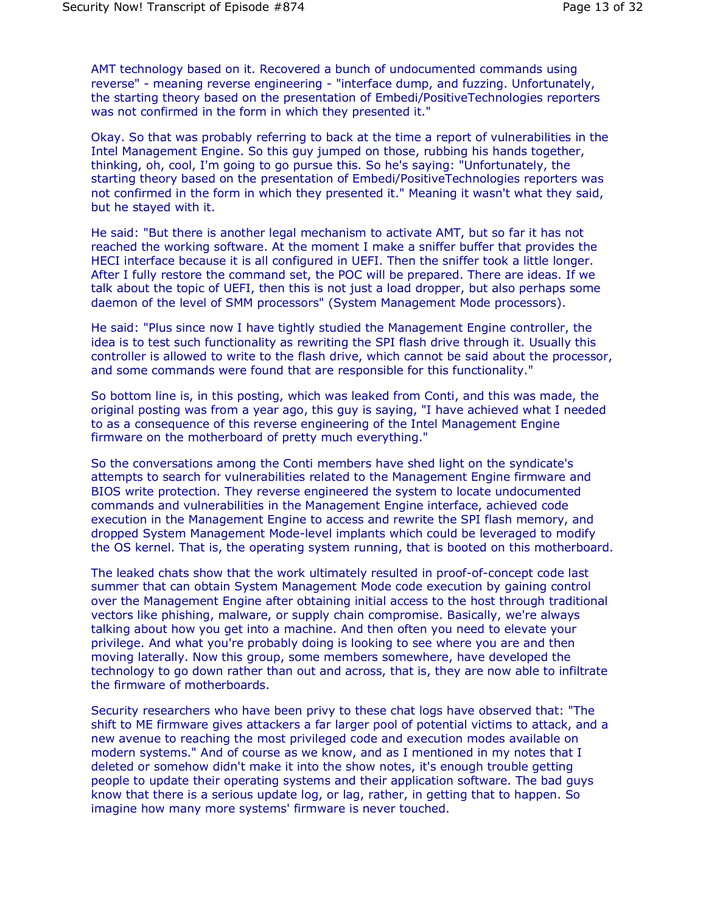AMT technology based on it. Recovered a bunch of undocumented commands using reverse" - meaning reverse engineering - "interface dump, and fuzzing. Unfortunately, the starting theory based on the presentation of Embedi/PositiveTechnologies reporters was not confirmed in the form in which they presented it."

Okay. So that was probably referring to back at the time a report of vulnerabilities in the Intel Management Engine. So this guy jumped on those, rubbing his hands together, thinking, oh, cool, I'm going to go pursue this. So he's saying: "Unfortunately, the starting theory based on the presentation of Embedi/PositiveTechnologies reporters was not confirmed in the form in which they presented it." Meaning it wasn't what they said, but he stayed with it.

He said: "But there is another legal mechanism to activate AMT, but so far it has not reached the working software. At the moment I make a sniffer buffer that provides the HECI interface because it is all configured in UEFI. Then the sniffer took a little longer. After I fully restore the command set, the POC will be prepared. There are ideas. If we talk about the topic of UEFI, then this is not just a load dropper, but also perhaps some daemon of the level of SMM processors" (System Management Mode processors).

He said: "Plus since now I have tightly studied the Management Engine controller, the idea is to test such functionality as rewriting the SPI flash drive through it. Usually this controller is allowed to write to the flash drive, which cannot be said about the processor, and some commands were found that are responsible for this functionality."

So bottom line is, in this posting, which was leaked from Conti, and this was made, the original posting was from a year ago, this guy is saying, "I have achieved what I needed to as a consequence of this reverse engineering of the Intel Management Engine firmware on the motherboard of pretty much everything."

So the conversations among the Conti members have shed light on the syndicate's attempts to search for vulnerabilities related to the Management Engine firmware and BIOS write protection. They reverse engineered the system to locate undocumented commands and vulnerabilities in the Management Engine interface, achieved code execution in the Management Engine to access and rewrite the SPI flash memory, and dropped System Management Mode-level implants which could be leveraged to modify the OS kernel. That is, the operating system running, that is booted on this motherboard.

The leaked chats show that the work ultimately resulted in proof-of-concept code last summer that can obtain System Management Mode code execution by gaining control over the Management Engine after obtaining initial access to the host through traditional vectors like phishing, malware, or supply chain compromise. Basically, we're always talking about how you get into a machine. And then often you need to elevate your privilege. And what you're probably doing is looking to see where you are and then moving laterally. Now this group, some members somewhere, have developed the technology to go down rather than out and across, that is, they are now able to infiltrate the firmware of motherboards.

Security researchers who have been privy to these chat logs have observed that: "The shift to ME firmware gives attackers a far larger pool of potential victims to attack, and a new avenue to reaching the most privileged code and execution modes available on modern systems." And of course as we know, and as I mentioned in my notes that I deleted or somehow didn't make it into the show notes, it's enough trouble getting people to update their operating systems and their application software. The bad guys know that there is a serious update log, or lag, rather, in getting that to happen. So imagine how many more systems' firmware is never touched.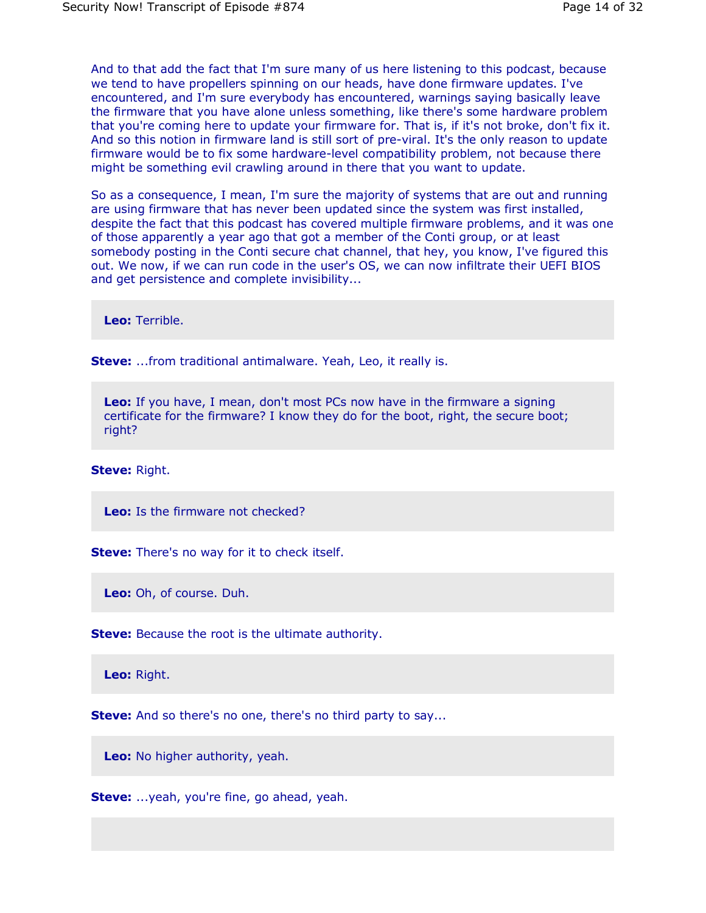And to that add the fact that I'm sure many of us here listening to this podcast, because we tend to have propellers spinning on our heads, have done firmware updates. I've encountered, and I'm sure everybody has encountered, warnings saying basically leave the firmware that you have alone unless something, like there's some hardware problem that you're coming here to update your firmware for. That is, if it's not broke, don't fix it. And so this notion in firmware land is still sort of pre-viral. It's the only reason to update firmware would be to fix some hardware-level compatibility problem, not because there might be something evil crawling around in there that you want to update.

So as a consequence, I mean, I'm sure the majority of systems that are out and running are using firmware that has never been updated since the system was first installed, despite the fact that this podcast has covered multiple firmware problems, and it was one of those apparently a year ago that got a member of the Conti group, or at least somebody posting in the Conti secure chat channel, that hey, you know, I've figured this out. We now, if we can run code in the user's OS, we can now infiltrate their UEFI BIOS and get persistence and complete invisibility...

**Leo:** Terrible.

**Steve:** ...from traditional antimalware. Yeah, Leo, it really is.

**Leo:** If you have, I mean, don't most PCs now have in the firmware a signing certificate for the firmware? I know they do for the boot, right, the secure boot; right?

**Steve:** Right.

**Leo:** Is the firmware not checked?

**Steve:** There's no way for it to check itself.

**Leo:** Oh, of course. Duh.

**Steve:** Because the root is the ultimate authority.

**Leo:** Right.

**Steve:** And so there's no one, there's no third party to say...

**Leo:** No higher authority, yeah.

**Steve:** ...yeah, you're fine, go ahead, yeah.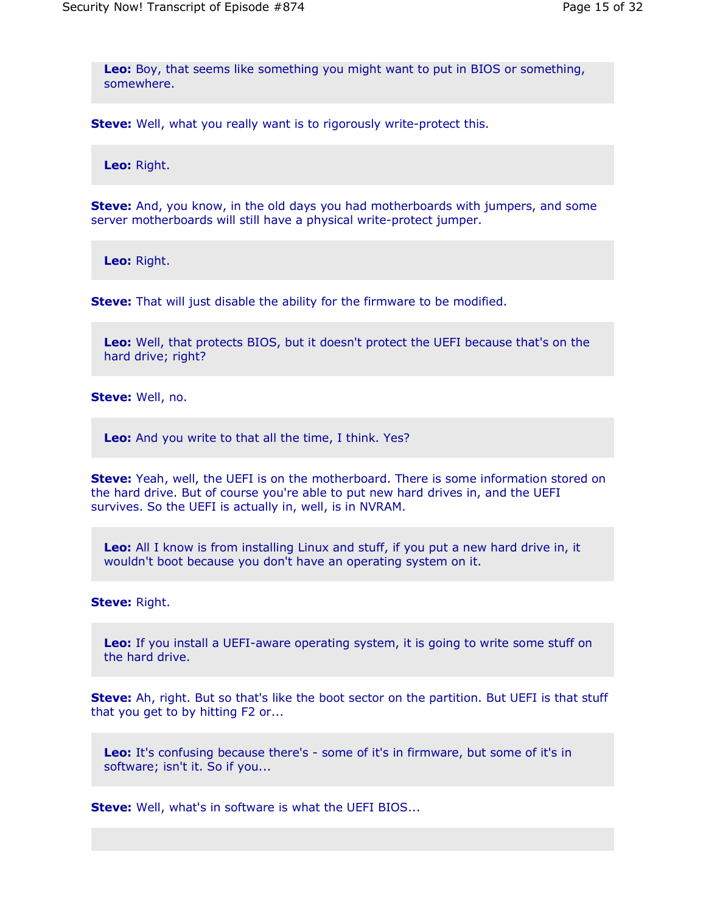**Leo:** Boy, that seems like something you might want to put in BIOS or something, somewhere.

**Steve:** Well, what you really want is to rigorously write-protect this.

**Leo:** Right.

**Steve:** And, you know, in the old days you had motherboards with jumpers, and some server motherboards will still have a physical write-protect jumper.

**Leo:** Right.

**Steve:** That will just disable the ability for the firmware to be modified.

**Leo:** Well, that protects BIOS, but it doesn't protect the UEFI because that's on the hard drive; right?

**Steve:** Well, no.

**Leo:** And you write to that all the time, I think. Yes?

**Steve:** Yeah, well, the UEFI is on the motherboard. There is some information stored on the hard drive. But of course you're able to put new hard drives in, and the UEFI survives. So the UEFI is actually in, well, is in NVRAM.

**Leo:** All I know is from installing Linux and stuff, if you put a new hard drive in, it wouldn't boot because you don't have an operating system on it.

**Steve:** Right.

**Leo:** If you install a UEFI-aware operating system, it is going to write some stuff on the hard drive.

**Steve:** Ah, right. But so that's like the boot sector on the partition. But UEFI is that stuff that you get to by hitting F2 or...

**Leo:** It's confusing because there's - some of it's in firmware, but some of it's in software; isn't it. So if you...

**Steve:** Well, what's in software is what the UEFI BIOS...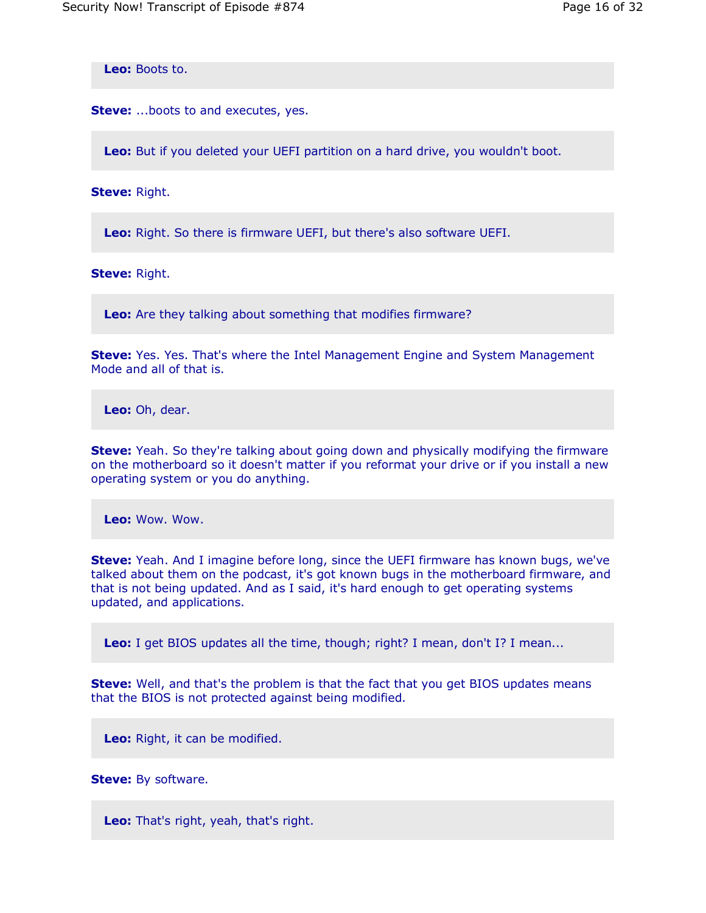**Leo:** Boots to.

**Steve:** ...boots to and executes, yes.

**Leo:** But if you deleted your UEFI partition on a hard drive, you wouldn't boot.

**Steve:** Right.

**Leo:** Right. So there is firmware UEFI, but there's also software UEFI.

**Steve:** Right.

**Leo:** Are they talking about something that modifies firmware?

**Steve:** Yes. Yes. That's where the Intel Management Engine and System Management Mode and all of that is.

**Leo:** Oh, dear.

**Steve:** Yeah. So they're talking about going down and physically modifying the firmware on the motherboard so it doesn't matter if you reformat your drive or if you install a new operating system or you do anything.

**Leo:** Wow. Wow.

**Steve:** Yeah. And I imagine before long, since the UEFI firmware has known bugs, we've talked about them on the podcast, it's got known bugs in the motherboard firmware, and that is not being updated. And as I said, it's hard enough to get operating systems updated, and applications.

**Leo:** I get BIOS updates all the time, though; right? I mean, don't I? I mean...

**Steve:** Well, and that's the problem is that the fact that you get BIOS updates means that the BIOS is not protected against being modified.

**Leo:** Right, it can be modified.

**Steve:** By software.

**Leo:** That's right, yeah, that's right.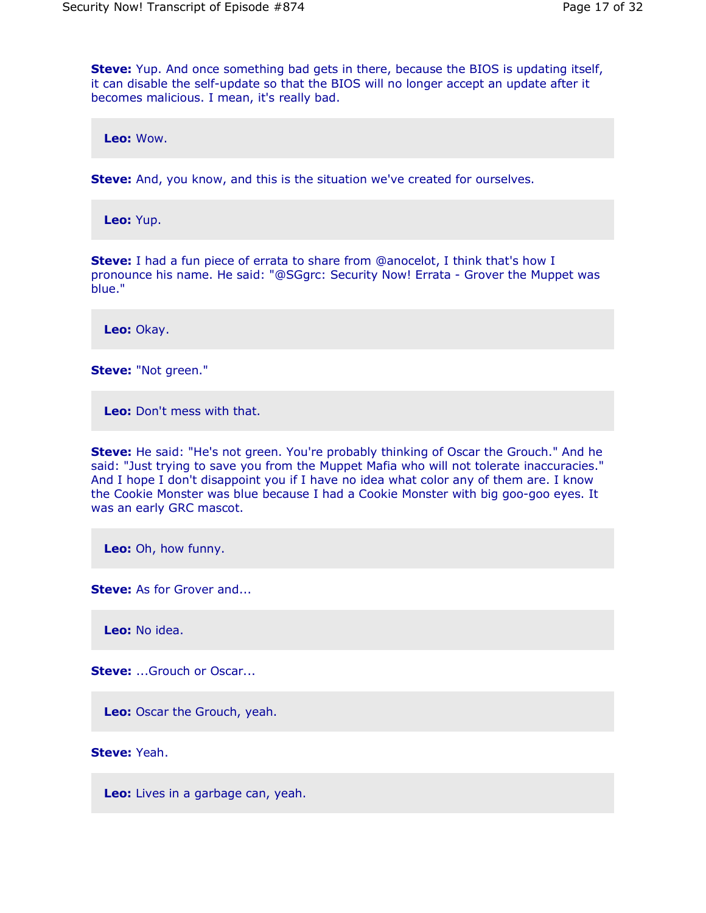**Steve:** Yup. And once something bad gets in there, because the BIOS is updating itself, it can disable the self-update so that the BIOS will no longer accept an update after it becomes malicious. I mean, it's really bad.

**Leo:** Wow.

**Steve:** And, you know, and this is the situation we've created for ourselves.

**Leo:** Yup.

**Steve:** I had a fun piece of errata to share from @anocelot, I think that's how I pronounce his name. He said: "@SGgrc: Security Now! Errata - Grover the Muppet was blue."

**Leo:** Okay.

**Steve:** "Not green."

**Leo:** Don't mess with that.

**Steve:** He said: "He's not green. You're probably thinking of Oscar the Grouch." And he said: "Just trying to save you from the Muppet Mafia who will not tolerate inaccuracies." And I hope I don't disappoint you if I have no idea what color any of them are. I know the Cookie Monster was blue because I had a Cookie Monster with big goo-goo eyes. It was an early GRC mascot.

**Leo:** Oh, how funny.

**Steve:** As for Grover and...

**Leo:** No idea.

**Steve:** ...Grouch or Oscar...

**Leo:** Oscar the Grouch, yeah.

**Steve:** Yeah.

**Leo:** Lives in a garbage can, yeah.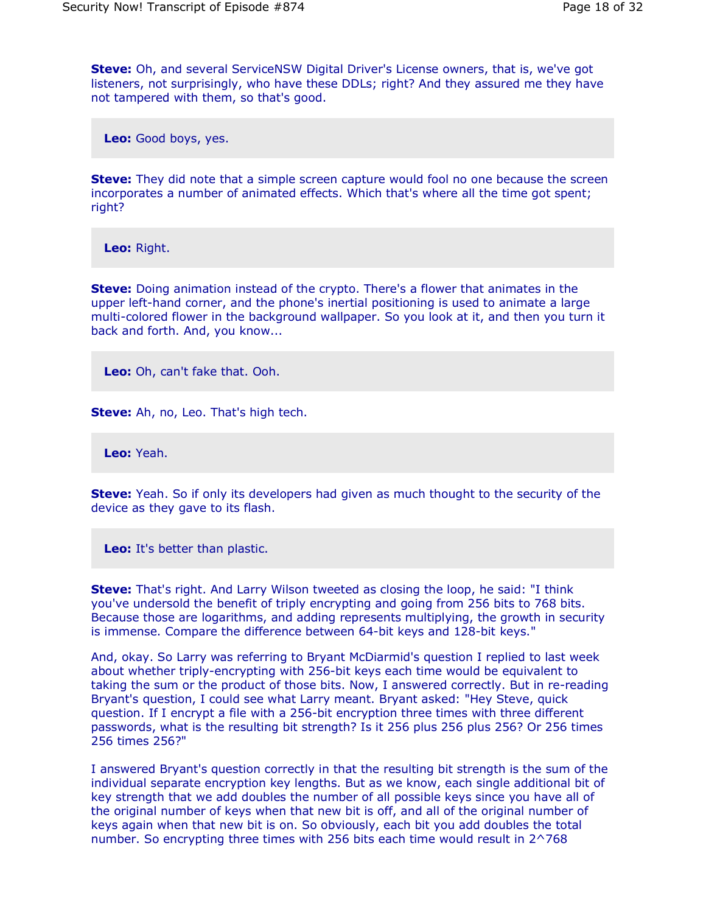**Steve:** Oh, and several ServiceNSW Digital Driver's License owners, that is, we've got listeners, not surprisingly, who have these DDLs; right? And they assured me they have not tampered with them, so that's good.

**Leo:** Good boys, yes.

**Steve:** They did note that a simple screen capture would fool no one because the screen incorporates a number of animated effects. Which that's where all the time got spent; right?

**Leo:** Right.

**Steve:** Doing animation instead of the crypto. There's a flower that animates in the upper left-hand corner, and the phone's inertial positioning is used to animate a large multi-colored flower in the background wallpaper. So you look at it, and then you turn it back and forth. And, you know...

**Leo:** Oh, can't fake that. Ooh.

**Steve:** Ah, no, Leo. That's high tech.

**Leo:** Yeah.

**Steve:** Yeah. So if only its developers had given as much thought to the security of the device as they gave to its flash.

**Leo:** It's better than plastic.

**Steve:** That's right. And Larry Wilson tweeted as closing the loop, he said: "I think you've undersold the benefit of triply encrypting and going from 256 bits to 768 bits. Because those are logarithms, and adding represents multiplying, the growth in security is immense. Compare the difference between 64-bit keys and 128-bit keys."

And, okay. So Larry was referring to Bryant McDiarmid's question I replied to last week about whether triply-encrypting with 256-bit keys each time would be equivalent to taking the sum or the product of those bits. Now, I answered correctly. But in re-reading Bryant's question, I could see what Larry meant. Bryant asked: "Hey Steve, quick question. If I encrypt a file with a 256-bit encryption three times with three different passwords, what is the resulting bit strength? Is it 256 plus 256 plus 256? Or 256 times 256 times 256?"

I answered Bryant's question correctly in that the resulting bit strength is the sum of the individual separate encryption key lengths. But as we know, each single additional bit of key strength that we add doubles the number of all possible keys since you have all of the original number of keys when that new bit is off, and all of the original number of keys again when that new bit is on. So obviously, each bit you add doubles the total number. So encrypting three times with 256 bits each time would result in 2^768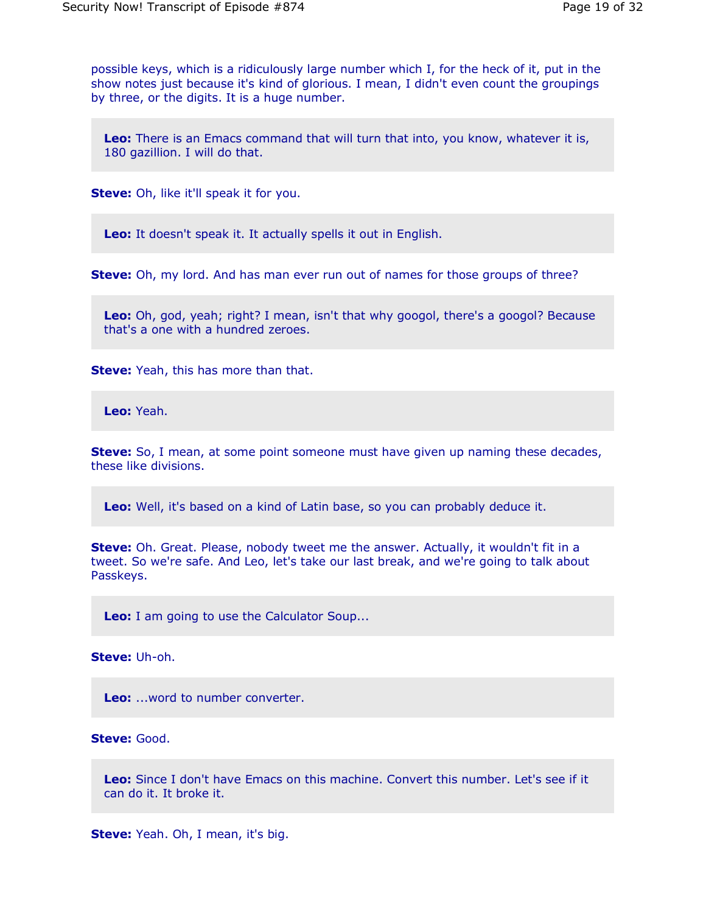possible keys, which is a ridiculously large number which I, for the heck of it, put in the show notes just because it's kind of glorious. I mean, I didn't even count the groupings by three, or the digits. It is a huge number.

**Leo:** There is an Emacs command that will turn that into, you know, whatever it is, 180 gazillion. I will do that.

**Steve:** Oh, like it'll speak it for you.

**Leo:** It doesn't speak it. It actually spells it out in English.

**Steve:** Oh, my lord. And has man ever run out of names for those groups of three?

**Leo:** Oh, god, yeah; right? I mean, isn't that why googol, there's a googol? Because that's a one with a hundred zeroes.

**Steve:** Yeah, this has more than that.

**Leo:** Yeah.

**Steve:** So, I mean, at some point someone must have given up naming these decades, these like divisions.

**Leo:** Well, it's based on a kind of Latin base, so you can probably deduce it.

**Steve:** Oh. Great. Please, nobody tweet me the answer. Actually, it wouldn't fit in a tweet. So we're safe. And Leo, let's take our last break, and we're going to talk about Passkeys.

**Leo:** I am going to use the Calculator Soup...

**Steve:** Uh-oh.

**Leo:** ...word to number converter.

**Steve:** Good.

**Leo:** Since I don't have Emacs on this machine. Convert this number. Let's see if it can do it. It broke it.

**Steve:** Yeah. Oh, I mean, it's big.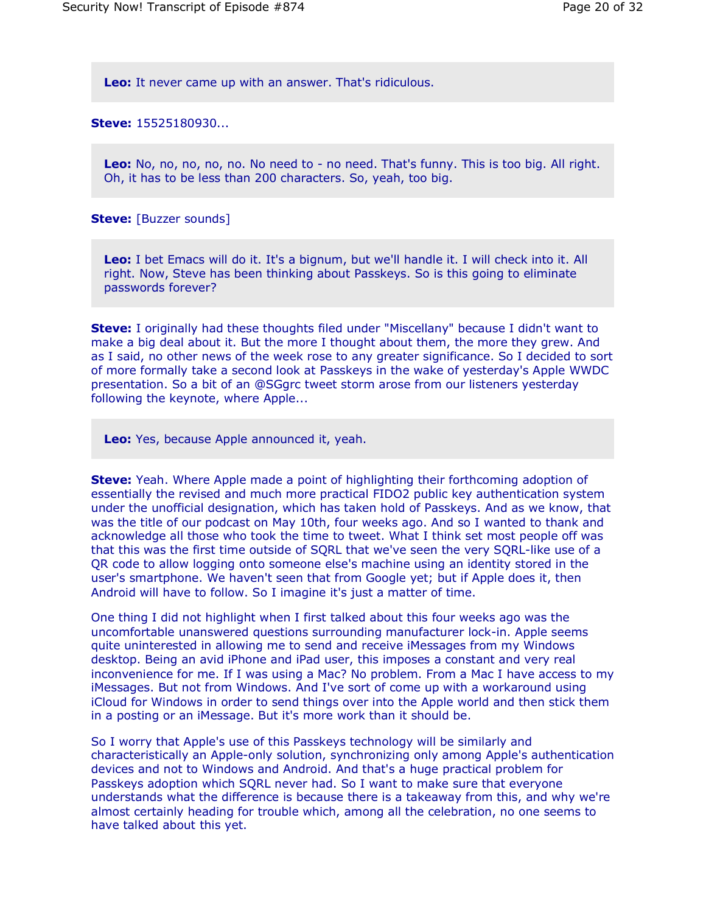**Leo:** It never came up with an answer. That's ridiculous.

**Steve:** 15525180930...

**Leo:** No, no, no, no, no. No need to - no need. That's funny. This is too big. All right. Oh, it has to be less than 200 characters. So, yeah, too big.

**Steve:** [Buzzer sounds]

**Leo:** I bet Emacs will do it. It's a bignum, but we'll handle it. I will check into it. All right. Now, Steve has been thinking about Passkeys. So is this going to eliminate passwords forever?

**Steve:** I originally had these thoughts filed under "Miscellany" because I didn't want to make a big deal about it. But the more I thought about them, the more they grew. And as I said, no other news of the week rose to any greater significance. So I decided to sort of more formally take a second look at Passkeys in the wake of yesterday's Apple WWDC presentation. So a bit of an @SGgrc tweet storm arose from our listeners yesterday following the keynote, where Apple...

**Leo:** Yes, because Apple announced it, yeah.

**Steve:** Yeah. Where Apple made a point of highlighting their forthcoming adoption of essentially the revised and much more practical FIDO2 public key authentication system under the unofficial designation, which has taken hold of Passkeys. And as we know, that was the title of our podcast on May 10th, four weeks ago. And so I wanted to thank and acknowledge all those who took the time to tweet. What I think set most people off was that this was the first time outside of SQRL that we've seen the very SQRL-like use of a QR code to allow logging onto someone else's machine using an identity stored in the user's smartphone. We haven't seen that from Google yet; but if Apple does it, then Android will have to follow. So I imagine it's just a matter of time.

One thing I did not highlight when I first talked about this four weeks ago was the uncomfortable unanswered questions surrounding manufacturer lock-in. Apple seems quite uninterested in allowing me to send and receive iMessages from my Windows desktop. Being an avid iPhone and iPad user, this imposes a constant and very real inconvenience for me. If I was using a Mac? No problem. From a Mac I have access to my iMessages. But not from Windows. And I've sort of come up with a workaround using iCloud for Windows in order to send things over into the Apple world and then stick them in a posting or an iMessage. But it's more work than it should be.

So I worry that Apple's use of this Passkeys technology will be similarly and characteristically an Apple-only solution, synchronizing only among Apple's authentication devices and not to Windows and Android. And that's a huge practical problem for Passkeys adoption which SQRL never had. So I want to make sure that everyone understands what the difference is because there is a takeaway from this, and why we're almost certainly heading for trouble which, among all the celebration, no one seems to have talked about this yet.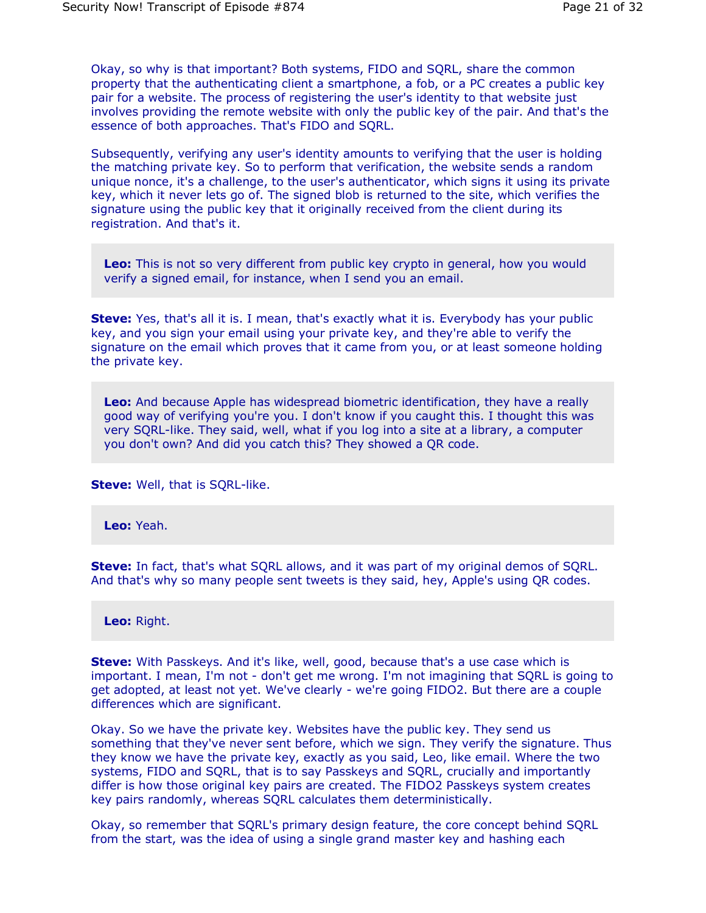Okay, so why is that important? Both systems, FIDO and SQRL, share the common property that the authenticating client a smartphone, a fob, or a PC creates a public key pair for a website. The process of registering the user's identity to that website just involves providing the remote website with only the public key of the pair. And that's the essence of both approaches. That's FIDO and SQRL.

Subsequently, verifying any user's identity amounts to verifying that the user is holding the matching private key. So to perform that verification, the website sends a random unique nonce, it's a challenge, to the user's authenticator, which signs it using its private key, which it never lets go of. The signed blob is returned to the site, which verifies the signature using the public key that it originally received from the client during its registration. And that's it.

**Leo:** This is not so very different from public key crypto in general, how you would verify a signed email, for instance, when I send you an email.

**Steve:** Yes, that's all it is. I mean, that's exactly what it is. Everybody has your public key, and you sign your email using your private key, and they're able to verify the signature on the email which proves that it came from you, or at least someone holding the private key.

**Leo:** And because Apple has widespread biometric identification, they have a really good way of verifying you're you. I don't know if you caught this. I thought this was very SQRL-like. They said, well, what if you log into a site at a library, a computer you don't own? And did you catch this? They showed a QR code.

**Steve:** Well, that is SQRL-like.

**Leo:** Yeah.

**Steve:** In fact, that's what SQRL allows, and it was part of my original demos of SQRL. And that's why so many people sent tweets is they said, hey, Apple's using QR codes.

**Leo:** Right.

**Steve:** With Passkeys. And it's like, well, good, because that's a use case which is important. I mean, I'm not - don't get me wrong. I'm not imagining that SQRL is going to get adopted, at least not yet. We've clearly - we're going FIDO2. But there are a couple differences which are significant.

Okay. So we have the private key. Websites have the public key. They send us something that they've never sent before, which we sign. They verify the signature. Thus they know we have the private key, exactly as you said, Leo, like email. Where the two systems, FIDO and SQRL, that is to say Passkeys and SQRL, crucially and importantly differ is how those original key pairs are created. The FIDO2 Passkeys system creates key pairs randomly, whereas SQRL calculates them deterministically.

Okay, so remember that SQRL's primary design feature, the core concept behind SQRL from the start, was the idea of using a single grand master key and hashing each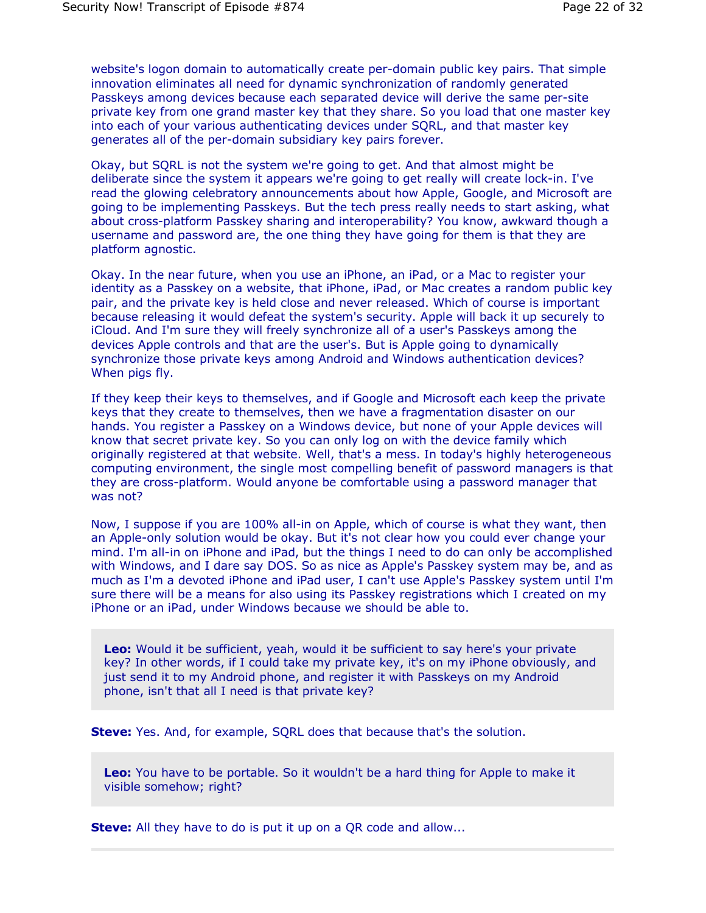website's logon domain to automatically create per-domain public key pairs. That simple innovation eliminates all need for dynamic synchronization of randomly generated Passkeys among devices because each separated device will derive the same per-site private key from one grand master key that they share. So you load that one master key into each of your various authenticating devices under SQRL, and that master key generates all of the per-domain subsidiary key pairs forever.

Okay, but SQRL is not the system we're going to get. And that almost might be deliberate since the system it appears we're going to get really will create lock-in. I've read the glowing celebratory announcements about how Apple, Google, and Microsoft are going to be implementing Passkeys. But the tech press really needs to start asking, what about cross-platform Passkey sharing and interoperability? You know, awkward though a username and password are, the one thing they have going for them is that they are platform agnostic.

Okay. In the near future, when you use an iPhone, an iPad, or a Mac to register your identity as a Passkey on a website, that iPhone, iPad, or Mac creates a random public key pair, and the private key is held close and never released. Which of course is important because releasing it would defeat the system's security. Apple will back it up securely to iCloud. And I'm sure they will freely synchronize all of a user's Passkeys among the devices Apple controls and that are the user's. But is Apple going to dynamically synchronize those private keys among Android and Windows authentication devices? When pigs fly.

If they keep their keys to themselves, and if Google and Microsoft each keep the private keys that they create to themselves, then we have a fragmentation disaster on our hands. You register a Passkey on a Windows device, but none of your Apple devices will know that secret private key. So you can only log on with the device family which originally registered at that website. Well, that's a mess. In today's highly heterogeneous computing environment, the single most compelling benefit of password managers is that they are cross-platform. Would anyone be comfortable using a password manager that was not?

Now, I suppose if you are 100% all-in on Apple, which of course is what they want, then an Apple-only solution would be okay. But it's not clear how you could ever change your mind. I'm all-in on iPhone and iPad, but the things I need to do can only be accomplished with Windows, and I dare say DOS. So as nice as Apple's Passkey system may be, and as much as I'm a devoted iPhone and iPad user, I can't use Apple's Passkey system until I'm sure there will be a means for also using its Passkey registrations which I created on my iPhone or an iPad, under Windows because we should be able to.

**Leo:** Would it be sufficient, yeah, would it be sufficient to say here's your private key? In other words, if I could take my private key, it's on my iPhone obviously, and just send it to my Android phone, and register it with Passkeys on my Android phone, isn't that all I need is that private key?

**Steve:** Yes. And, for example, SQRL does that because that's the solution.

**Leo:** You have to be portable. So it wouldn't be a hard thing for Apple to make it visible somehow; right?

**Steve:** All they have to do is put it up on a QR code and allow...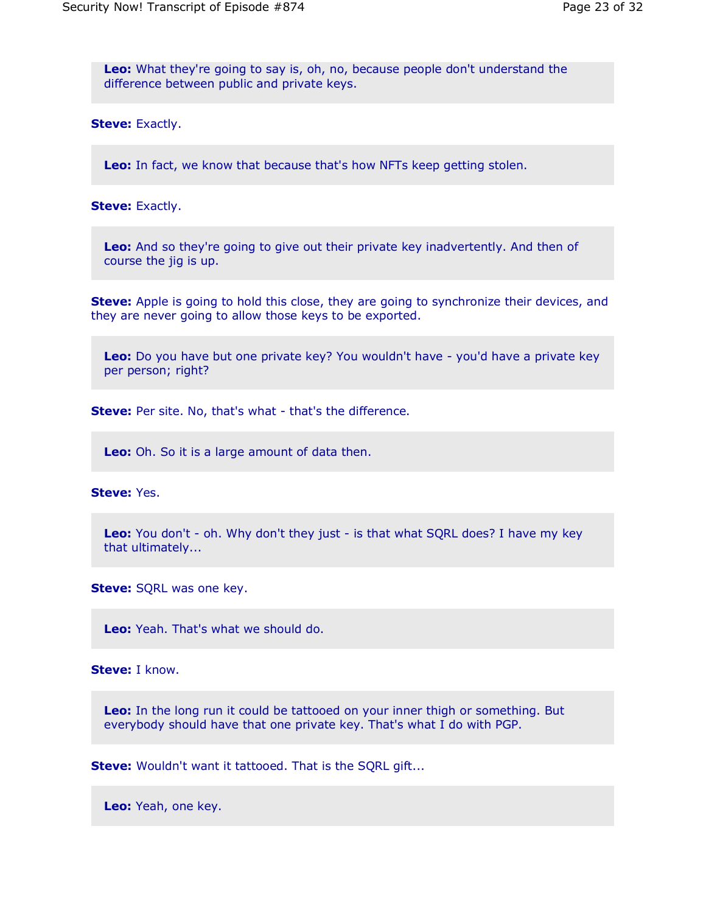**Leo:** What they're going to say is, oh, no, because people don't understand the difference between public and private keys.

**Steve:** Exactly.

**Leo:** In fact, we know that because that's how NFTs keep getting stolen.

**Steve:** Exactly.

**Leo:** And so they're going to give out their private key inadvertently. And then of course the jig is up.

**Steve:** Apple is going to hold this close, they are going to synchronize their devices, and they are never going to allow those keys to be exported.

**Leo:** Do you have but one private key? You wouldn't have - you'd have a private key per person; right?

**Steve:** Per site. No, that's what - that's the difference.

**Leo:** Oh. So it is a large amount of data then.

**Steve:** Yes.

**Leo:** You don't - oh. Why don't they just - is that what SQRL does? I have my key that ultimately...

**Steve:** SQRL was one key.

**Leo:** Yeah. That's what we should do.

**Steve:** I know.

**Leo:** In the long run it could be tattooed on your inner thigh or something. But everybody should have that one private key. That's what I do with PGP.

**Steve:** Wouldn't want it tattooed. That is the SQRL gift...

**Leo:** Yeah, one key.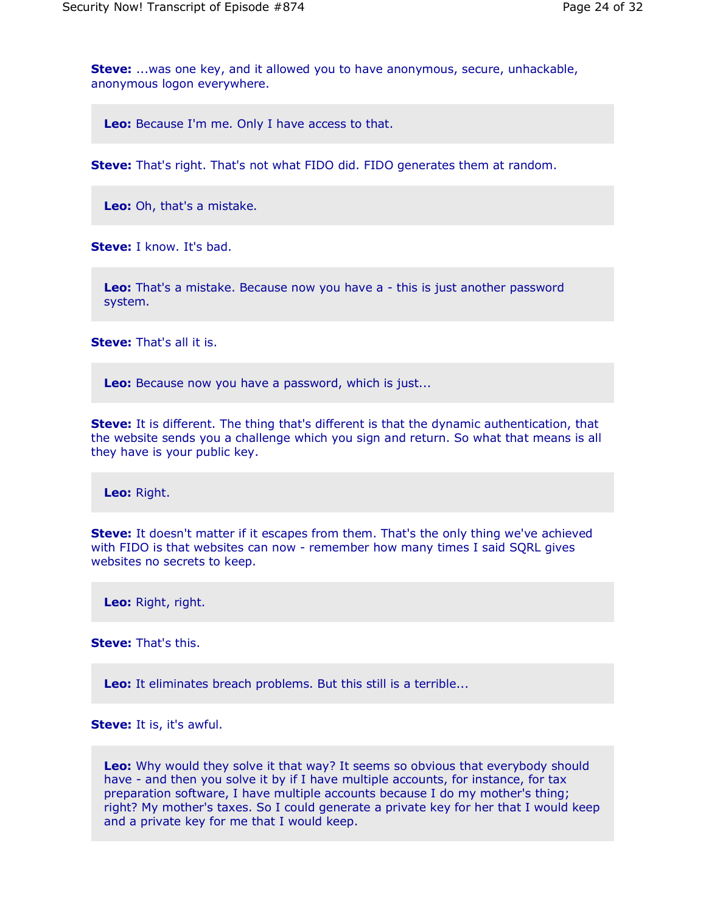**Steve:** ...was one key, and it allowed you to have anonymous, secure, unhackable, anonymous logon everywhere.

**Leo:** Because I'm me. Only I have access to that.

**Steve:** That's right. That's not what FIDO did. FIDO generates them at random.

**Leo:** Oh, that's a mistake.

**Steve:** I know. It's bad.

**Leo:** That's a mistake. Because now you have a - this is just another password system.

**Steve:** That's all it is.

**Leo:** Because now you have a password, which is just...

**Steve:** It is different. The thing that's different is that the dynamic authentication, that the website sends you a challenge which you sign and return. So what that means is all they have is your public key.

**Leo:** Right.

**Steve:** It doesn't matter if it escapes from them. That's the only thing we've achieved with FIDO is that websites can now - remember how many times I said SQRL gives websites no secrets to keep.

**Leo:** Right, right.

**Steve:** That's this.

Leo: It eliminates breach problems. But this still is a terrible...

**Steve:** It is, it's awful.

**Leo:** Why would they solve it that way? It seems so obvious that everybody should have - and then you solve it by if I have multiple accounts, for instance, for tax preparation software, I have multiple accounts because I do my mother's thing; right? My mother's taxes. So I could generate a private key for her that I would keep and a private key for me that I would keep.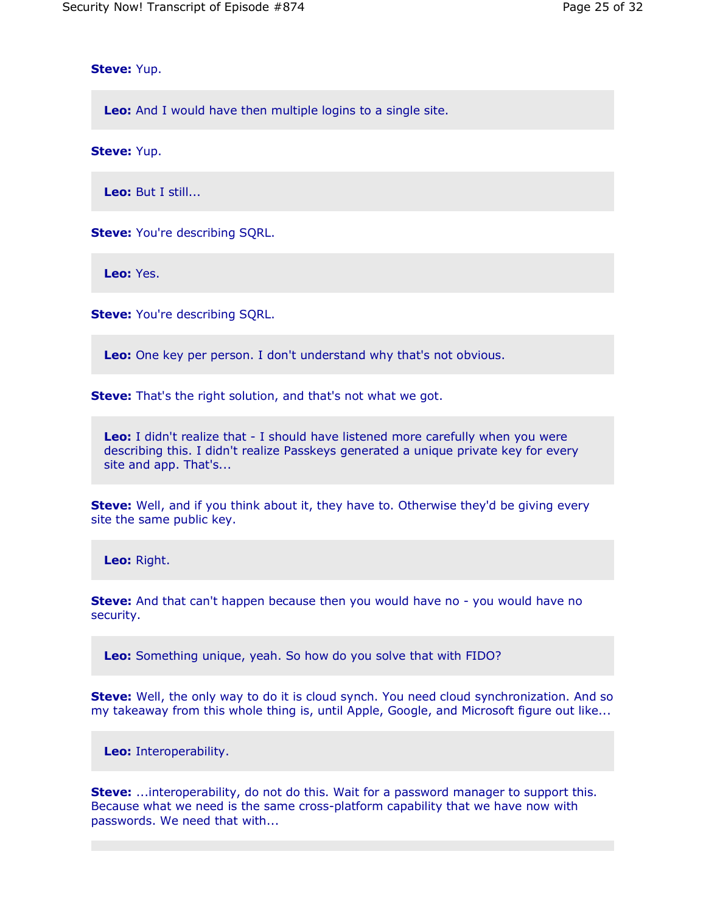**Steve:** Yup.

**Leo:** And I would have then multiple logins to a single site.

**Steve:** Yup.

**Leo:** But I still...

**Steve:** You're describing SQRL.

**Leo:** Yes.

**Steve:** You're describing SORL.

**Leo:** One key per person. I don't understand why that's not obvious.

**Steve:** That's the right solution, and that's not what we got.

**Leo:** I didn't realize that - I should have listened more carefully when you were describing this. I didn't realize Passkeys generated a unique private key for every site and app. That's...

**Steve:** Well, and if you think about it, they have to. Otherwise they'd be giving every site the same public key.

**Leo:** Right.

**Steve:** And that can't happen because then you would have no - you would have no security.

**Leo:** Something unique, yeah. So how do you solve that with FIDO?

**Steve:** Well, the only way to do it is cloud synch. You need cloud synchronization. And so my takeaway from this whole thing is, until Apple, Google, and Microsoft figure out like...

**Leo:** Interoperability.

**Steve:** ...interoperability, do not do this. Wait for a password manager to support this. Because what we need is the same cross-platform capability that we have now with passwords. We need that with...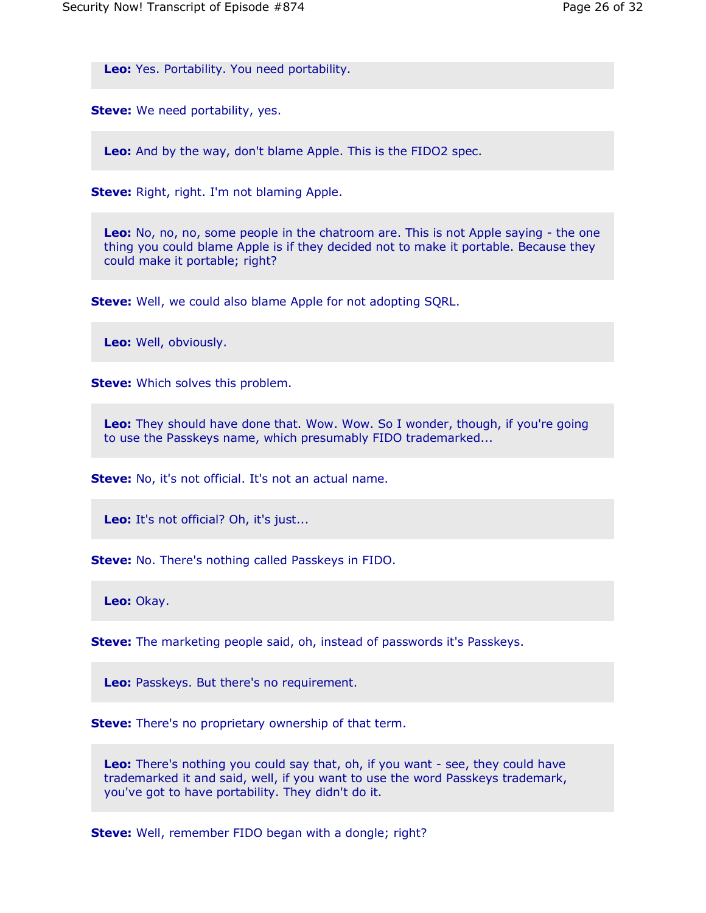**Leo:** Yes. Portability. You need portability.

**Steve:** We need portability, yes.

**Leo:** And by the way, don't blame Apple. This is the FIDO2 spec.

**Steve:** Right, right. I'm not blaming Apple.

**Leo:** No, no, no, some people in the chatroom are. This is not Apple saying - the one thing you could blame Apple is if they decided not to make it portable. Because they could make it portable; right?

**Steve:** Well, we could also blame Apple for not adopting SQRL.

**Leo:** Well, obviously.

**Steve:** Which solves this problem.

**Leo:** They should have done that. Wow. Wow. So I wonder, though, if you're going to use the Passkeys name, which presumably FIDO trademarked...

**Steve:** No, it's not official. It's not an actual name.

Leo: It's not official? Oh, it's just...

**Steve:** No. There's nothing called Passkeys in FIDO.

**Leo:** Okay.

**Steve:** The marketing people said, oh, instead of passwords it's Passkeys.

**Leo:** Passkeys. But there's no requirement.

**Steve:** There's no proprietary ownership of that term.

**Leo:** There's nothing you could say that, oh, if you want - see, they could have trademarked it and said, well, if you want to use the word Passkeys trademark, you've got to have portability. They didn't do it.

**Steve:** Well, remember FIDO began with a dongle; right?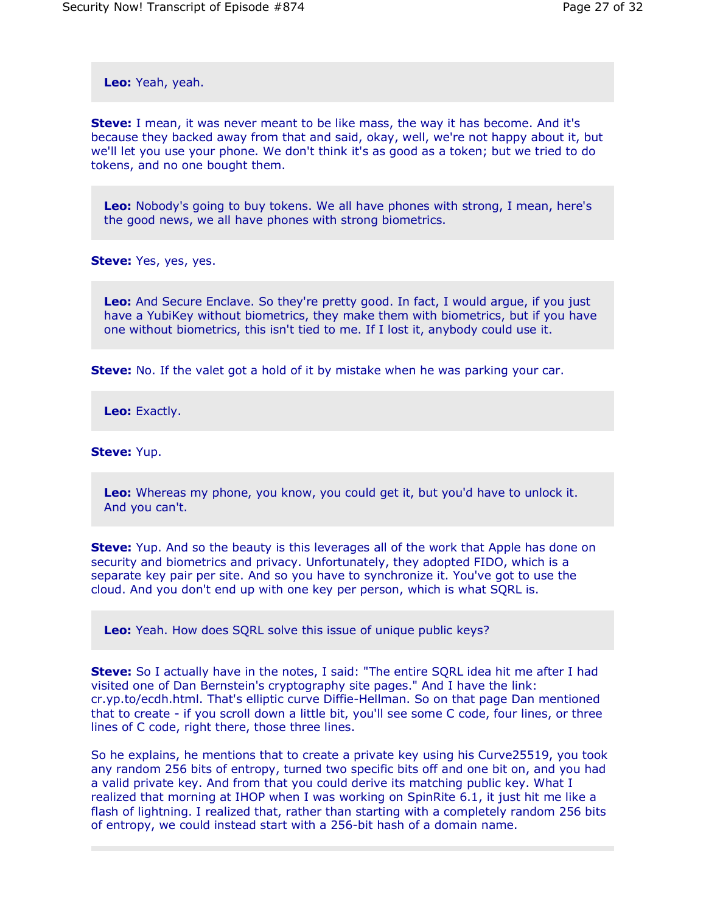**Leo:** Yeah, yeah.

**Steve:** I mean, it was never meant to be like mass, the way it has become. And it's because they backed away from that and said, okay, well, we're not happy about it, but we'll let you use your phone. We don't think it's as good as a token; but we tried to do tokens, and no one bought them.

**Leo:** Nobody's going to buy tokens. We all have phones with strong, I mean, here's the good news, we all have phones with strong biometrics.

**Steve:** Yes, yes, yes.

**Leo:** And Secure Enclave. So they're pretty good. In fact, I would argue, if you just have a YubiKey without biometrics, they make them with biometrics, but if you have one without biometrics, this isn't tied to me. If I lost it, anybody could use it.

**Steve:** No. If the valet got a hold of it by mistake when he was parking your car.

**Leo:** Exactly.

**Steve:** Yup.

**Leo:** Whereas my phone, you know, you could get it, but you'd have to unlock it. And you can't.

**Steve:** Yup. And so the beauty is this leverages all of the work that Apple has done on security and biometrics and privacy. Unfortunately, they adopted FIDO, which is a separate key pair per site. And so you have to synchronize it. You've got to use the cloud. And you don't end up with one key per person, which is what SQRL is.

**Leo:** Yeah. How does SQRL solve this issue of unique public keys?

**Steve:** So I actually have in the notes, I said: "The entire SQRL idea hit me after I had visited one of Dan Bernstein's cryptography site pages." And I have the link: cr.yp.to/ecdh.html. That's elliptic curve Diffie-Hellman. So on that page Dan mentioned that to create - if you scroll down a little bit, you'll see some C code, four lines, or three lines of C code, right there, those three lines.

So he explains, he mentions that to create a private key using his Curve25519, you took any random 256 bits of entropy, turned two specific bits off and one bit on, and you had a valid private key. And from that you could derive its matching public key. What I realized that morning at IHOP when I was working on SpinRite 6.1, it just hit me like a flash of lightning. I realized that, rather than starting with a completely random 256 bits of entropy, we could instead start with a 256-bit hash of a domain name.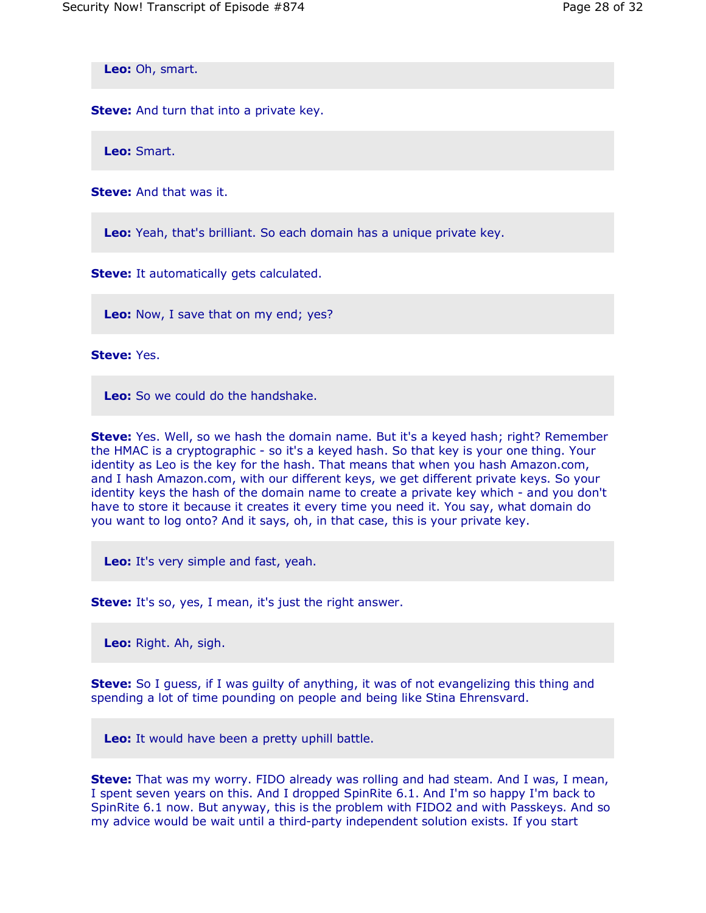**Leo:** Oh, smart.

**Steve:** And turn that into a private key.

**Leo:** Smart.

**Steve:** And that was it.

**Leo:** Yeah, that's brilliant. So each domain has a unique private key.

**Steve:** It automatically gets calculated.

**Leo:** Now, I save that on my end; yes?

**Steve:** Yes.

**Leo:** So we could do the handshake.

**Steve:** Yes. Well, so we hash the domain name. But it's a keyed hash; right? Remember the HMAC is a cryptographic - so it's a keyed hash. So that key is your one thing. Your identity as Leo is the key for the hash. That means that when you hash Amazon.com, and I hash Amazon.com, with our different keys, we get different private keys. So your identity keys the hash of the domain name to create a private key which - and you don't have to store it because it creates it every time you need it. You say, what domain do you want to log onto? And it says, oh, in that case, this is your private key.

**Leo:** It's very simple and fast, yeah.

**Steve:** It's so, yes, I mean, it's just the right answer.

**Leo:** Right. Ah, sigh.

**Steve:** So I guess, if I was guilty of anything, it was of not evangelizing this thing and spending a lot of time pounding on people and being like Stina Ehrensvard.

**Leo:** It would have been a pretty uphill battle.

**Steve:** That was my worry. FIDO already was rolling and had steam. And I was, I mean, I spent seven years on this. And I dropped SpinRite 6.1. And I'm so happy I'm back to SpinRite 6.1 now. But anyway, this is the problem with FIDO2 and with Passkeys. And so my advice would be wait until a third-party independent solution exists. If you start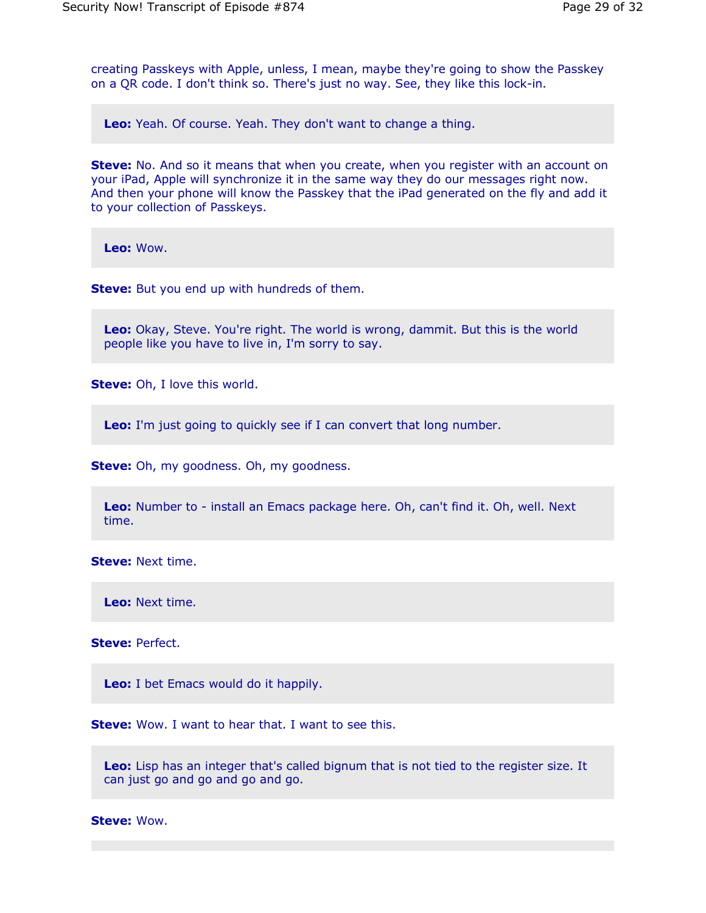creating Passkeys with Apple, unless, I mean, maybe they're going to show the Passkey on a QR code. I don't think so. There's just no way. See, they like this lock-in.

**Leo:** Yeah. Of course. Yeah. They don't want to change a thing.

**Steve:** No. And so it means that when you create, when you register with an account on your iPad, Apple will synchronize it in the same way they do our messages right now. And then your phone will know the Passkey that the iPad generated on the fly and add it to your collection of Passkeys.

**Leo:** Wow.

**Steve:** But you end up with hundreds of them.

**Leo:** Okay, Steve. You're right. The world is wrong, dammit. But this is the world people like you have to live in, I'm sorry to say.

**Steve:** Oh, I love this world.

**Leo:** I'm just going to quickly see if I can convert that long number.

**Steve:** Oh, my goodness. Oh, my goodness.

**Leo:** Number to - install an Emacs package here. Oh, can't find it. Oh, well. Next time.

**Steve:** Next time.

**Leo:** Next time.

**Steve:** Perfect.

**Leo:** I bet Emacs would do it happily.

**Steve:** Wow. I want to hear that. I want to see this.

**Leo:** Lisp has an integer that's called bignum that is not tied to the register size. It can just go and go and go and go.

**Steve:** Wow.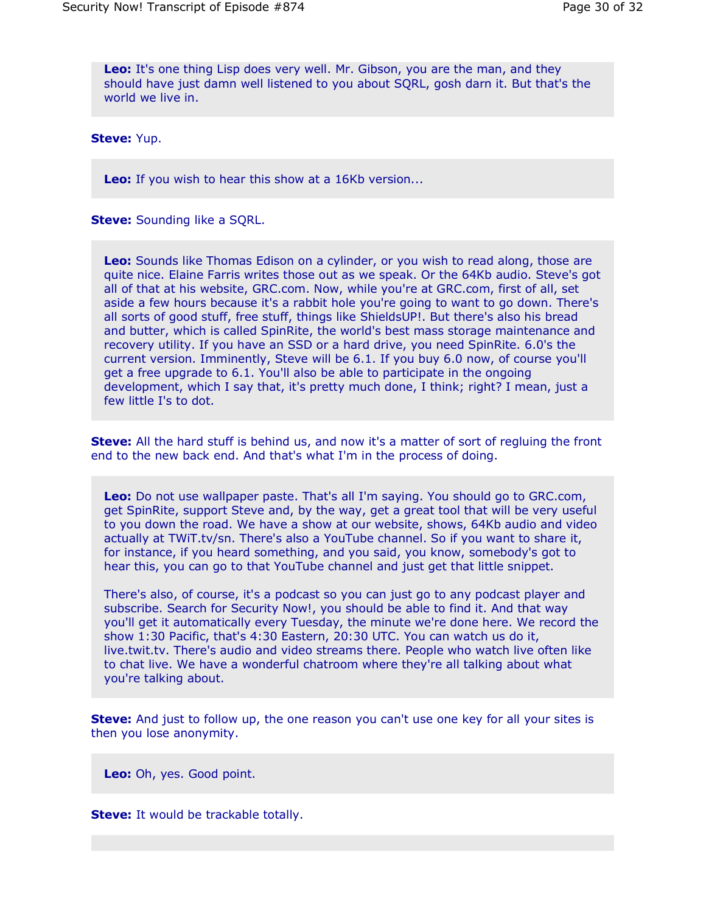**Leo:** It's one thing Lisp does very well. Mr. Gibson, you are the man, and they should have just damn well listened to you about SQRL, gosh darn it. But that's the world we live in.

**Steve:** Yup.

**Leo:** If you wish to hear this show at a 16Kb version...

**Steve:** Sounding like a SQRL.

**Leo:** Sounds like Thomas Edison on a cylinder, or you wish to read along, those are quite nice. Elaine Farris writes those out as we speak. Or the 64Kb audio. Steve's got all of that at his website, GRC.com. Now, while you're at GRC.com, first of all, set aside a few hours because it's a rabbit hole you're going to want to go down. There's all sorts of good stuff, free stuff, things like ShieldsUP!. But there's also his bread and butter, which is called SpinRite, the world's best mass storage maintenance and recovery utility. If you have an SSD or a hard drive, you need SpinRite. 6.0's the current version. Imminently, Steve will be 6.1. If you buy 6.0 now, of course you'll get a free upgrade to 6.1. You'll also be able to participate in the ongoing development, which I say that, it's pretty much done, I think; right? I mean, just a few little I's to dot.

**Steve:** All the hard stuff is behind us, and now it's a matter of sort of regluing the front end to the new back end. And that's what I'm in the process of doing.

**Leo:** Do not use wallpaper paste. That's all I'm saying. You should go to GRC.com, get SpinRite, support Steve and, by the way, get a great tool that will be very useful to you down the road. We have a show at our website, shows, 64Kb audio and video actually at TWiT.tv/sn. There's also a YouTube channel. So if you want to share it, for instance, if you heard something, and you said, you know, somebody's got to hear this, you can go to that YouTube channel and just get that little snippet.

There's also, of course, it's a podcast so you can just go to any podcast player and subscribe. Search for Security Now!, you should be able to find it. And that way you'll get it automatically every Tuesday, the minute we're done here. We record the show 1:30 Pacific, that's 4:30 Eastern, 20:30 UTC. You can watch us do it, live.twit.tv. There's audio and video streams there. People who watch live often like to chat live. We have a wonderful chatroom where they're all talking about what you're talking about.

**Steve:** And just to follow up, the one reason you can't use one key for all your sites is then you lose anonymity.

**Leo:** Oh, yes. Good point.

**Steve:** It would be trackable totally.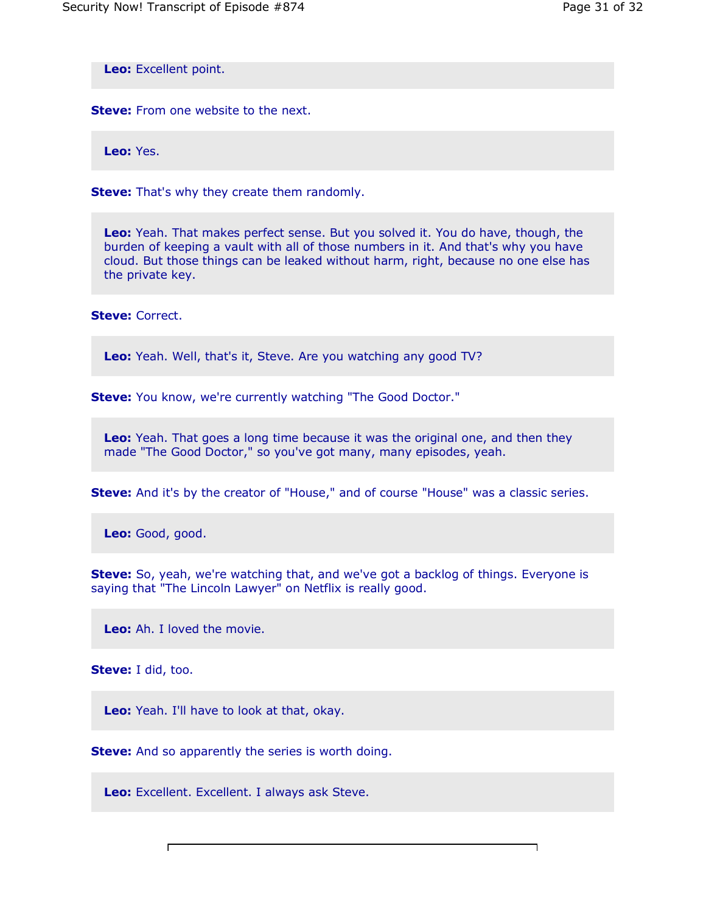$\overline{1}$ 

**Leo:** Excellent point.

**Steve:** From one website to the next.

**Leo:** Yes.

**Steve:** That's why they create them randomly.

**Leo:** Yeah. That makes perfect sense. But you solved it. You do have, though, the burden of keeping a vault with all of those numbers in it. And that's why you have cloud. But those things can be leaked without harm, right, because no one else has the private key.

**Steve:** Correct.

**Leo:** Yeah. Well, that's it, Steve. Are you watching any good TV?

**Steve:** You know, we're currently watching "The Good Doctor."

**Leo:** Yeah. That goes a long time because it was the original one, and then they made "The Good Doctor," so you've got many, many episodes, yeah.

**Steve:** And it's by the creator of "House," and of course "House" was a classic series.

**Leo:** Good, good.

**Steve:** So, yeah, we're watching that, and we've got a backlog of things. Everyone is saying that "The Lincoln Lawyer" on Netflix is really good.

**Leo:** Ah. I loved the movie.

**Steve:** I did, too.

 $\mathsf{r}$ 

**Leo:** Yeah. I'll have to look at that, okay.

**Steve:** And so apparently the series is worth doing.

**Leo:** Excellent. Excellent. I always ask Steve.